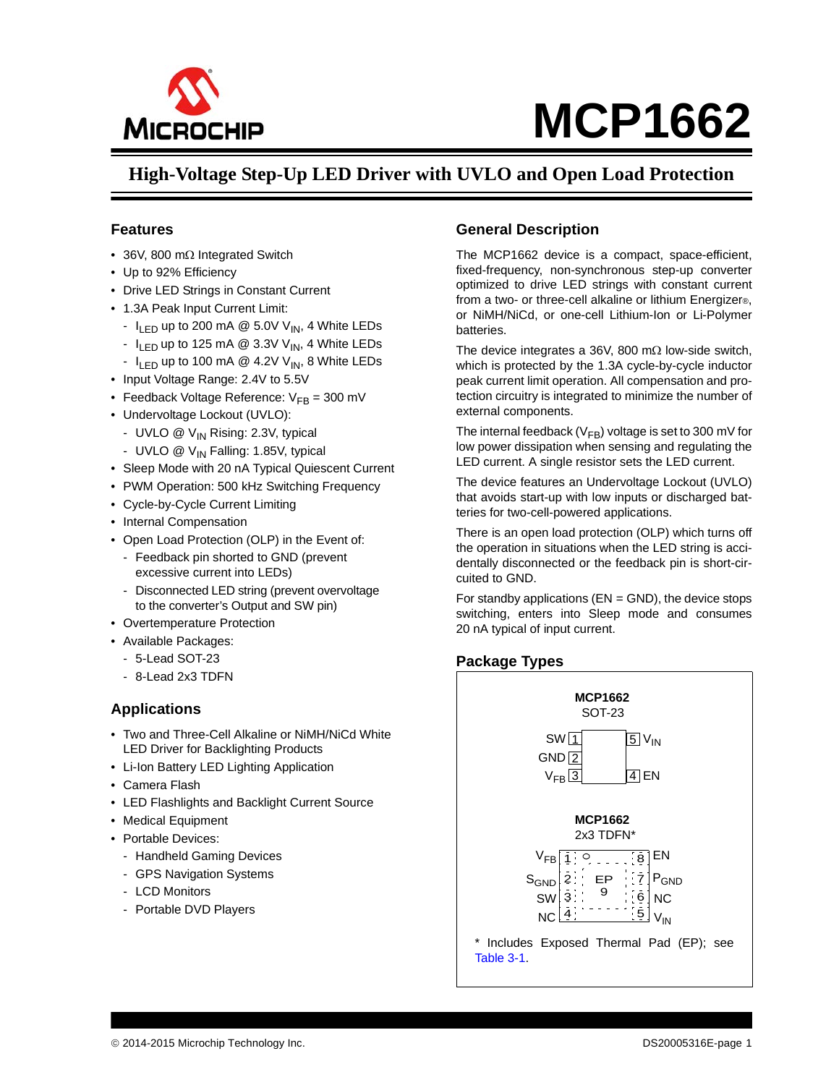

# **MCP1662**

# **High-Voltage Step-Up LED Driver with UVLO and Open Load Protection**

#### <span id="page-0-0"></span>**Features**

- 36V, 800 m $\Omega$  Integrated Switch
- Up to 92% Efficiency
- Drive LED Strings in Constant Current
- 1.3A Peak Input Current Limit:
	- $I_{LED}$  up to 200 mA @ 5.0V V<sub>IN</sub>, 4 White LEDs
	- $I_{LED}$  up to 125 mA @ 3.3V V<sub>IN</sub>, 4 White LEDs
- $I_{LED}$  up to 100 mA @ 4.2V V<sub>IN</sub>, 8 White LEDs
- Input Voltage Range: 2.4V to 5.5V
- Feedback Voltage Reference:  $V_{FB} = 300$  mV
- Undervoltage Lockout (UVLO):
	- UVLO @ V<sub>IN</sub> Rising: 2.3V, typical
- UVLO @ V<sub>IN</sub> Falling: 1.85V, typical
- Sleep Mode with 20 nA Typical Quiescent Current
- PWM Operation: 500 kHz Switching Frequency
- Cycle-by-Cycle Current Limiting
- Internal Compensation
- Open Load Protection (OLP) in the Event of:
	- Feedback pin shorted to GND (prevent excessive current into LEDs)
	- Disconnected LED string (prevent overvoltage to the converter's Output and SW pin)
- Overtemperature Protection
- Available Packages:
	- 5-Lead SOT-23
	- 8-Lead 2x3 TDFN

#### **Applications**

- Two and Three-Cell Alkaline or NiMH/NiCd White LED Driver for Backlighting Products
- Li-Ion Battery LED Lighting Application
- Camera Flash
- LED Flashlights and Backlight Current Source
- Medical Equipment
- Portable Devices:
	- Handheld Gaming Devices
	- GPS Navigation Systems
	- LCD Monitors
	- Portable DVD Players

#### <span id="page-0-1"></span>**General Description**

The MCP1662 device is a compact, space-efficient, fixed-frequency, non-synchronous step-up converter optimized to drive LED strings with constant current from a two- or three-cell alkaline or lithium Energizer®, or NiMH/NiCd, or one-cell Lithium-Ion or Li-Polymer batteries.

The device integrates a 36V, 800 m $\Omega$  low-side switch, which is protected by the 1.3A cycle-by-cycle inductor peak current limit operation. All compensation and protection circuitry is integrated to minimize the number of external components.

The internal feedback ( $V_{FB}$ ) voltage is set to 300 mV for low power dissipation when sensing and regulating the LED current. A single resistor sets the LED current.

The device features an Undervoltage Lockout (UVLO) that avoids start-up with low inputs or discharged batteries for two-cell-powered applications.

There is an open load protection (OLP) which turns off the operation in situations when the LED string is accidentally disconnected or the feedback pin is short-circuited to GND.

For standby applications ( $EN = \text{GND}$ ), the device stops switching, enters into Sleep mode and consumes 20 nA typical of input current.

#### **Package Types**

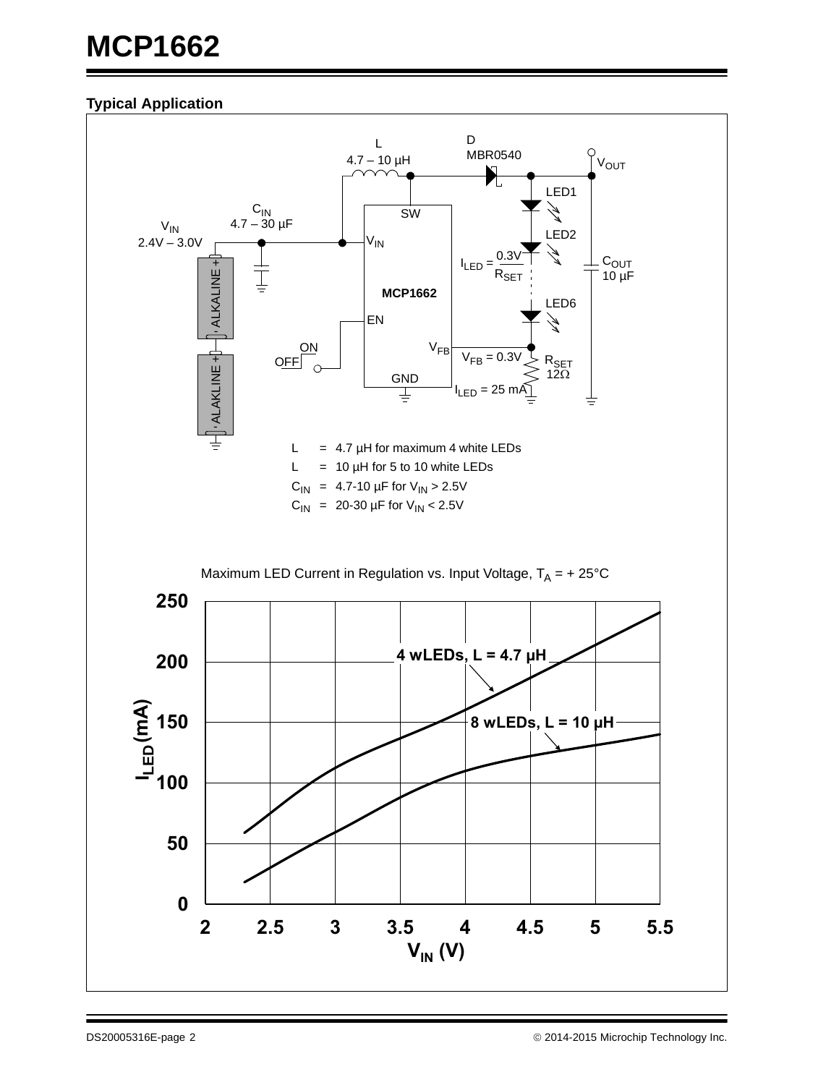# **MCP1662**

# **Typical Application**

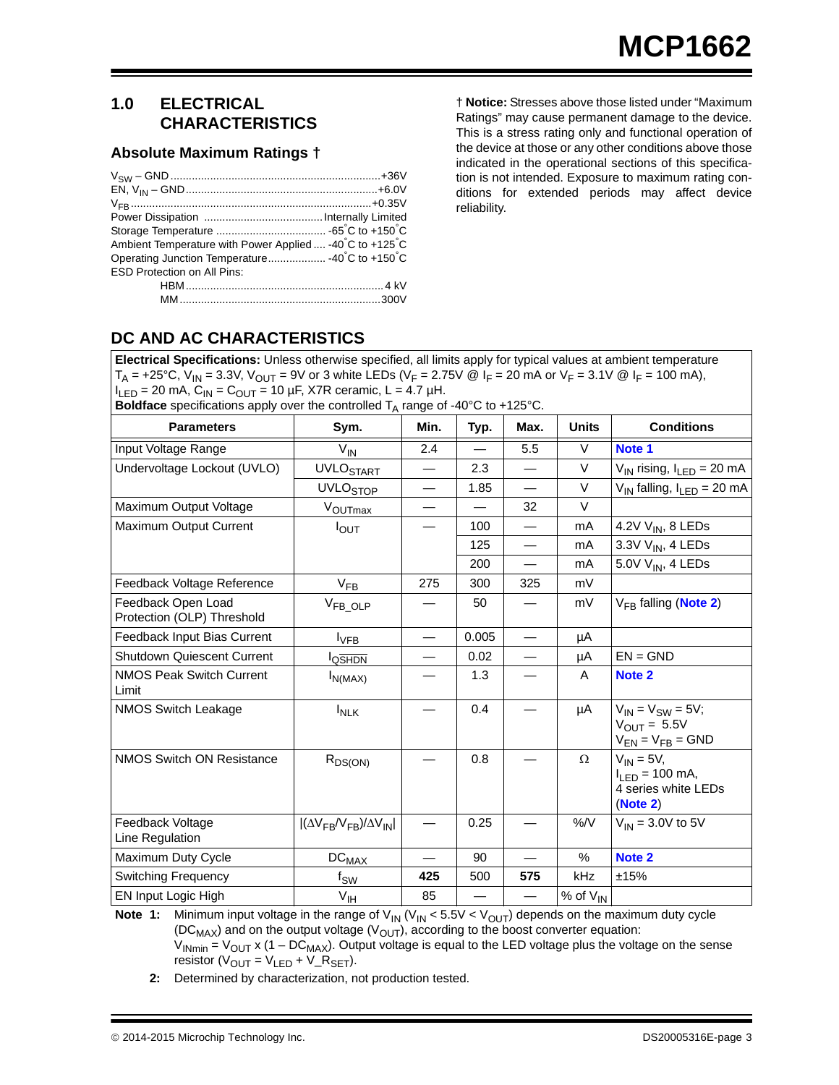# **1.0 ELECTRICAL CHARACTERISTICS**

# **Absolute Maximum Ratings †**

| Ambient Temperature with Power Applied  -40°C to +125°C |
|---------------------------------------------------------|
| Operating Junction Temperature -40°C to +150°C          |
| <b>ESD Protection on All Pins:</b>                      |
|                                                         |
|                                                         |

† **Notice:** Stresses above those listed under "Maximum Ratings" may cause permanent damage to the device. This is a stress rating only and functional operation of the device at those or any other conditions above those indicated in the operational sections of this specification is not intended. Exposure to maximum rating conditions for extended periods may affect device reliability.

# <span id="page-2-2"></span>**DC AND AC CHARACTERISTICS**

**Electrical Specifications:** Unless otherwise specified, all limits apply for typical values at ambient temperature  $T_A = +25^{\circ}$ C,  $V_{IN} = 3.3V$ ,  $V_{OUT} = 9V$  or 3 white LEDs ( $V_F = 2.75V$  @ I<sub>F</sub> = 20 mA or  $V_F = 3.1V$  @ I<sub>F</sub> = 100 mA),  $I_{LED} = 20$  mA,  $C_{IN} = C_{OUT} = 10 \mu F$ , X7R ceramic, L = 4.7  $\mu H$ .

**Boldface** specifications apply over the controlled  $T_A$  range of -40 $^{\circ}$ C to +125 $^{\circ}$ C.

| .<br><b>Parameters</b>                           | $\sqrt{ }$<br>Sym.                       | Min.                     | Typ.  | Max.                     | <b>Units</b>  | <b>Conditions</b>                                                               |
|--------------------------------------------------|------------------------------------------|--------------------------|-------|--------------------------|---------------|---------------------------------------------------------------------------------|
|                                                  |                                          |                          |       |                          |               |                                                                                 |
| Input Voltage Range                              | $V_{\text{IN}}$                          | 2.4                      |       | 5.5                      | $\vee$        | Note 1                                                                          |
| Undervoltage Lockout (UVLO)                      | <b>UVLO<sub>START</sub></b>              |                          | 2.3   |                          | V             | $V_{IN}$ rising, $I_{LED} = 20$ mA                                              |
|                                                  | <b>UVLO</b> STOP                         | $\overline{\phantom{0}}$ | 1.85  | $\overline{\phantom{0}}$ | $\vee$        | $V_{IN}$ falling, $I_{LED} = 20$ mA                                             |
| Maximum Output Voltage                           | V <sub>OUTmax</sub>                      | $\overline{\phantom{0}}$ |       | 32                       | $\vee$        |                                                                                 |
| Maximum Output Current                           | $I_{OUT}$                                |                          | 100   | $\overline{\phantom{0}}$ | mA            | 4.2V $V_{IN}$ , 8 LEDs                                                          |
|                                                  |                                          |                          | 125   |                          | mA            | 3.3V $V_{IN}$ , 4 LEDs                                                          |
|                                                  |                                          |                          | 200   |                          | mA            | 5.0V $V_{IN}$ , 4 LEDs                                                          |
| Feedback Voltage Reference                       | $V_{FB}$                                 | 275                      | 300   | 325                      | mV            |                                                                                 |
| Feedback Open Load<br>Protection (OLP) Threshold | V <sub>FB</sub> OLP                      |                          | 50    |                          | mV            | $V_{FB}$ falling (Note 2)                                                       |
| Feedback Input Bias Current                      | $I_{\text{VFB}}$                         |                          | 0.005 |                          | μA            |                                                                                 |
| <b>Shutdown Quiescent Current</b>                | l <sub>QSHDN</sub>                       |                          | 0.02  |                          | μA            | $EN = GND$                                                                      |
| NMOS Peak Switch Current<br>Limit                | I <sub>N(MAX)</sub>                      |                          | 1.3   |                          | A             | Note 2                                                                          |
| <b>NMOS Switch Leakage</b>                       | $I_{NLK}$                                |                          | 0.4   |                          | μA            | $V_{IN}$ = $V_{SW}$ = 5V;<br>$V_{\text{OUT}} = 5.5V$<br>$V_{EN} = V_{FB} = GND$ |
| <b>NMOS Switch ON Resistance</b>                 | $R_{DS(ON)}$                             |                          | 0.8   |                          | Ω             | $V_{IN} = 5V$ ,<br>$I_{LED} = 100$ mA,<br>4 series white LEDs<br>(Note 2)       |
| Feedback Voltage<br>Line Regulation              | $ (\Delta V_{FB}/V_{FB})/\Delta V_{IN} $ |                          | 0.25  |                          | %/V           | $V_{IN}$ = 3.0V to 5V                                                           |
| Maximum Duty Cycle                               | $DC_{MAX}$                               |                          | 90    |                          | $\%$          | Note <sub>2</sub>                                                               |
| <b>Switching Frequency</b>                       | $f_{SW}$                                 | 425                      | 500   | 575                      | kHz           | ±15%                                                                            |
| EN Input Logic High                              | $V_{\text{IH}}$                          | 85                       |       |                          | % of $V_{IN}$ |                                                                                 |

<span id="page-2-0"></span>**Note 1:** Minimum input voltage in the range of  $V_{IN}$  ( $V_{IN}$  < 5.5V <  $V_{OUT}$ ) depends on the maximum duty cycle (DC<sub>MAX</sub>) and on the output voltage ( $V_{OUT}$ ), according to the boost converter equation:

 $V_{INmin} = V_{OUT}$  x (1 – DC<sub>MAX</sub>). Output voltage is equal to the LED voltage plus the voltage on the sense resistor ( $V_{OUT} = V_{LED} + V_{-}R_{SET}$ ).

<span id="page-2-1"></span>**2:** Determined by characterization, not production tested.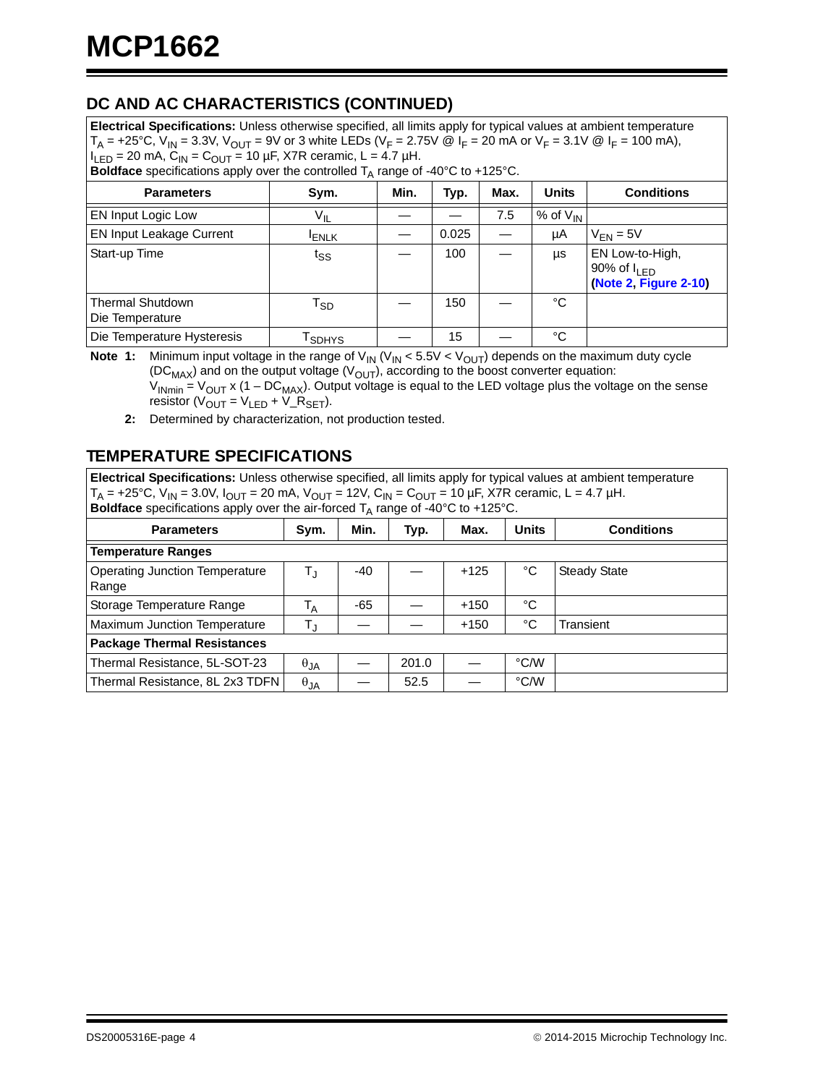# **DC AND AC CHARACTERISTICS (CONTINUED)**

**Electrical Specifications:** Unless otherwise specified, all limits apply for typical values at ambient temperature  $T_A = +25^{\circ}$ C, V<sub>IN</sub> = 3.3V, V<sub>OUT</sub> = 9V or 3 white LEDs (V<sub>F</sub> = 2.75V @ I<sub>F</sub> = 20 mA or V<sub>F</sub> = 3.1V @ I<sub>F</sub> = 100 mA),  $I_{LED} = 20$  mA,  $C_{IN} = C_{OUT} = 10 \mu F$ , X7R ceramic, L = 4.7  $\mu H$ .

**Boldface** specifications apply over the controlled  $T_A$  range of -40°C to +125°C.

|                                            | $\cdots$                   |      |       |      |                            |                                                              |
|--------------------------------------------|----------------------------|------|-------|------|----------------------------|--------------------------------------------------------------|
| <b>Parameters</b>                          | Sym.                       | Min. | Typ.  | Max. | <b>Units</b>               | <b>Conditions</b>                                            |
| EN Input Logic Low                         | $V_{IL}$                   |      |       | 7.5  | $\frac{1}{26}$ of $V_{IN}$ |                                                              |
| <b>EN Input Leakage Current</b>            | <b>ENLK</b>                |      | 0.025 |      | μA                         | $V_{EN} = 5V$                                                |
| Start-up Time                              | tss                        |      | 100   |      | μs                         | EN Low-to-High,<br>90% of $I_{LED}$<br>(Note 2, Figure 2-10) |
| <b>Thermal Shutdown</b><br>Die Temperature | $\mathsf{T}_{\mathsf{SD}}$ |      | 150   |      | °C                         |                                                              |
| Die Temperature Hysteresis                 | <b>SDHYS</b>               |      | 15    |      | °C                         |                                                              |

**Note 1:** Minimum input voltage in the range of  $V_{\text{IN}}$  ( $V_{\text{IN}}$  < 5.5V <  $V_{\text{OUT}}$ ) depends on the maximum duty cycle (DC<sub>MAX</sub>) and on the output voltage ( $V_{\text{OUT}}$ ), according to the boost converter equation:

 $V_{INmin}$  =  $V_{OUT}$  x (1 –  $DC_{MAX}$ ). Output voltage is equal to the LED voltage plus the voltage on the sense resistor ( $V_{OUT} = V_{LED} + V_{-}R_{SET}$ ).

**2:** Determined by characterization, not production tested.

# **TEMPERATURE SPECIFICATIONS**

**Electrical Specifications:** Unless otherwise specified, all limits apply for typical values at ambient temperature  $T_A = +25^{\circ}$ C, V<sub>IN</sub> = 3.0V, I<sub>OUT</sub> = 20 mA, V<sub>OUT</sub> = 12V, C<sub>IN</sub> = C<sub>OUT</sub> = 10 µF, X7R ceramic, L = 4.7 µH. **Boldface** specifications apply over the air-forced T<sub>A</sub> range of -40°C to +125°C.

| <b>Parameters</b>                              | Sym.                    | Min.  | Typ.  | Max.   | <b>Units</b> | <b>Conditions</b>   |
|------------------------------------------------|-------------------------|-------|-------|--------|--------------|---------------------|
| <b>Temperature Ranges</b>                      |                         |       |       |        |              |                     |
| <b>Operating Junction Temperature</b><br>Range | T,                      | -40   |       | $+125$ | °C           | <b>Steady State</b> |
| Storage Temperature Range                      | $\mathsf{T}_\mathsf{A}$ | $-65$ |       | $+150$ | °C           |                     |
| Maximum Junction Temperature                   | T,                      |       |       | $+150$ | °C           | Transient           |
| <b>Package Thermal Resistances</b>             |                         |       |       |        |              |                     |
| Thermal Resistance, 5L-SOT-23                  | $\theta_{JA}$           |       | 201.0 |        | °C/W         |                     |
| Thermal Resistance, 8L 2x3 TDFN                | $\theta_{JA}$           |       | 52.5  |        | °C/W         |                     |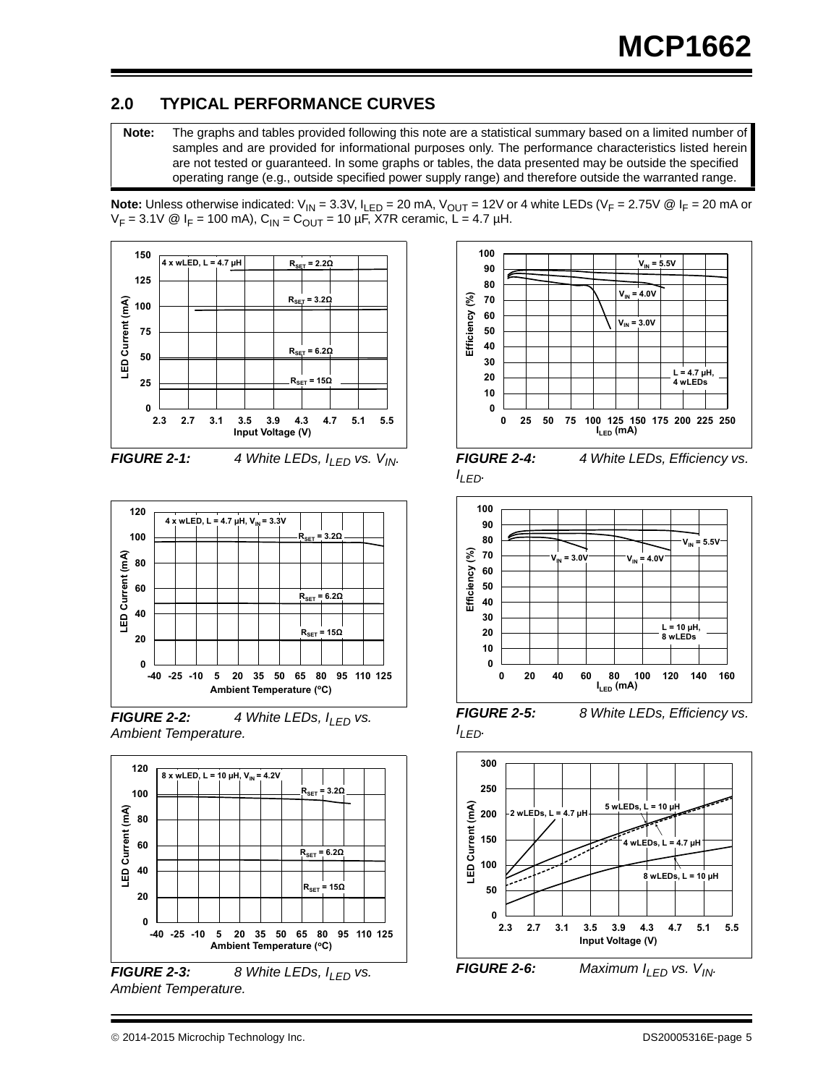# **2.0 TYPICAL PERFORMANCE CURVES**

**Note:** The graphs and tables provided following this note are a statistical summary based on a limited number of samples and are provided for informational purposes only. The performance characteristics listed herein are not tested or guaranteed. In some graphs or tables, the data presented may be outside the specified operating range (e.g., outside specified power supply range) and therefore outside the warranted range.

**Note:** Unless otherwise indicated:  $V_{\text{IN}} = 3.3V$ ,  $I_{\text{LED}} = 20$  mA,  $V_{\text{OUT}} = 12V$  or 4 white LEDs ( $V_F = 2.75V$  @  $I_F = 20$  mA or  $V_F = 3.1V \circledR I_F = 100 \text{ mA}$ ,  $C_{IN} = C_{OUT} = 10 \mu\text{F}$ , X7R ceramic, L = 4.7  $\mu$ H.



*FIGURE 2-1:*  $4$  *White LEDs,*  $I_{LED}$  *vs.*  $V_{IN}$ .







*FIGURE 2-3: 8 White LEDs, ILED vs. Ambient Temperature.*



*FIGURE 2-4: 4 White LEDs, Efficiency vs. ILED.*



*FIGURE 2-5: 8 White LEDs, Efficiency vs. ILED.*

<span id="page-4-0"></span>

2014-2015 Microchip Technology Inc. DS20005316E-page 5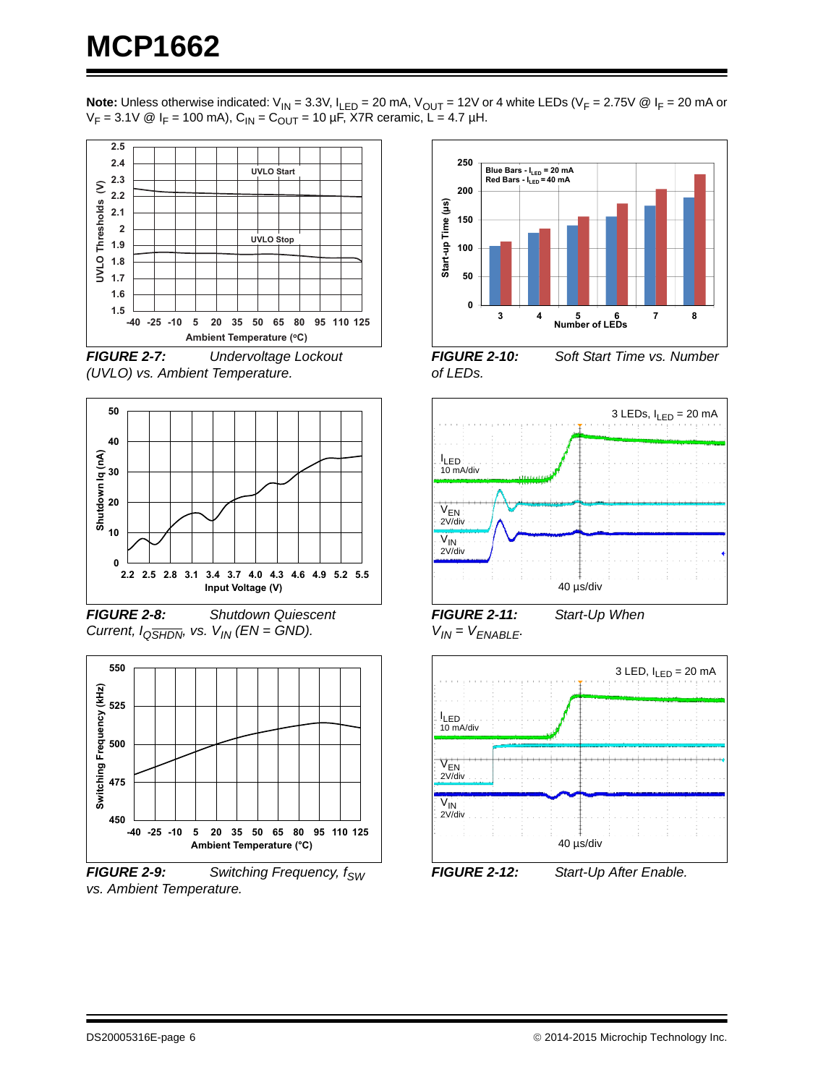**Note:** Unless otherwise indicated:  $V_{IN}$  = 3.3V,  $I_{LED}$  = 20 mA,  $V_{OUT}$  = 12V or 4 white LEDs ( $V_F$  = 2.75V @  $I_F$  = 20 mA or  $V_F = 3.1V \& I_F = 100 \text{ mA}$ ,  $C_{IN} = C_{OUT} = 10 \mu\text{F}$ , X7R ceramic, L = 4.7  $\mu$ H.



*FIGURE 2-7: Undervoltage Lockout (UVLO) vs. Ambient Temperature.*



<span id="page-5-1"></span>*FIGURE 2-8: Shutdown Quiescent Current,*  $I_{Q\overline{SHDN}}$ , vs.  $V_{IN}$  (EN = GND).



**FIGURE 2-9:** Switching Frequency,  $f_{SW}$ *vs. Ambient Temperature.*



<span id="page-5-2"></span><span id="page-5-0"></span>*FIGURE 2-10: Soft Start Time vs. Number of LEDs.*



<span id="page-5-3"></span>*FIGURE 2-11: Start-Up When*   $V_{IN} = V_{ENABLE}$ .



<span id="page-5-4"></span>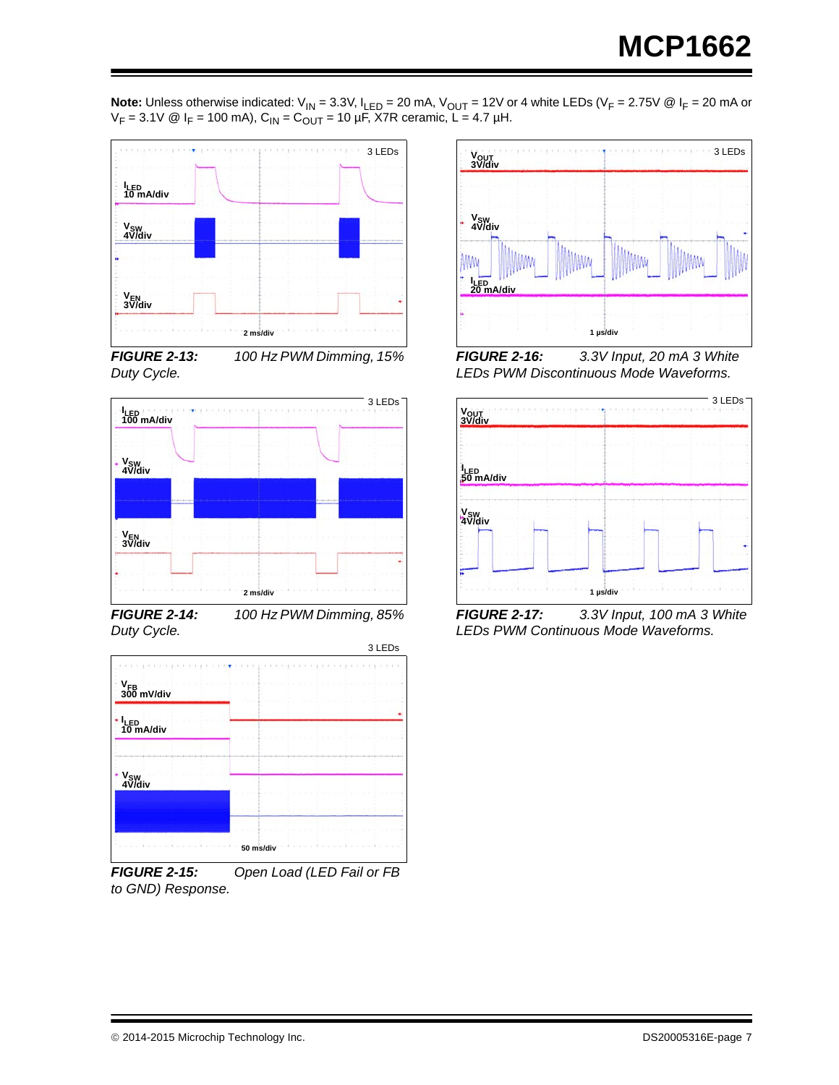**Note:** Unless otherwise indicated: V<sub>IN</sub> = 3.3V, I<sub>LED</sub> = 20 mA, V<sub>OUT</sub> = 12V or 4 white LEDs (V<sub>F</sub> = 2.75V @ I<sub>F</sub> = 20 mA or  $V_F = 3.1 V \text{ @ } I_F = 100 \text{ mA}$ ),  $C_{IN} = C_{OUT} = 10 \text{ µF}$ , X7R ceramic, L = 4.7  $\mu$ H.



*FIGURE 2-13: 100 Hz PWM Dimming, 15% Duty Cycle.*



*FIGURE 2-14: 100 Hz PWM Dimming, 85% Duty Cycle.*



*FIGURE 2-15: Open Load (LED Fail or FB to GND) Response.*



*FIGURE 2-16: 3.3V Input, 20 mA 3 White LEDs PWM Discontinuous Mode Waveforms.*



*FIGURE 2-17: 3.3V Input, 100 mA 3 White LEDs PWM Continuous Mode Waveforms.*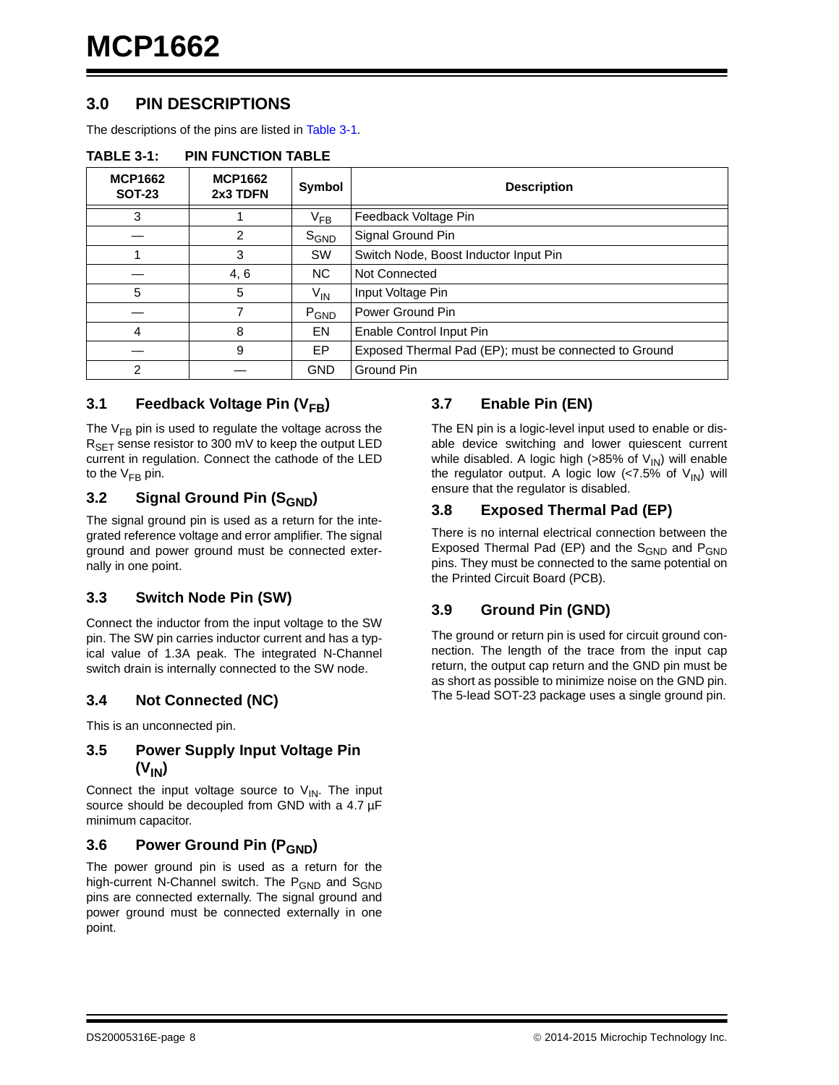# **3.0 PIN DESCRIPTIONS**

The descriptions of the pins are listed in [Table 3-1.](#page-7-0)

| .                               | .  950 - 150 - 150 - 1     |            |                                                       |
|---------------------------------|----------------------------|------------|-------------------------------------------------------|
| <b>MCP1662</b><br><b>SOT-23</b> | <b>MCP1662</b><br>2x3 TDFN | Symbol     | <b>Description</b>                                    |
| 3                               |                            | $V_{FB}$   | Feedback Voltage Pin                                  |
|                                 | 2                          | $S_{GND}$  | Signal Ground Pin                                     |
|                                 | 3                          | <b>SW</b>  | Switch Node, Boost Inductor Input Pin                 |
|                                 | 4, 6                       | NC.        | Not Connected                                         |
| 5                               | 5                          | $V_{IN}$   | Input Voltage Pin                                     |
|                                 |                            | $P_{GND}$  | Power Ground Pin                                      |
| 4                               | 8                          | EN         | Enable Control Input Pin                              |
|                                 | 9                          | EP.        | Exposed Thermal Pad (EP); must be connected to Ground |
| 2                               |                            | <b>GND</b> | Ground Pin                                            |

#### <span id="page-7-0"></span>**TABLE 3-1: PIN FUNCTION TABLE**

# **3.1** Feedback Voltage Pin (V<sub>FB</sub>)

The  $V_{FB}$  pin is used to regulate the voltage across the  $R_{\text{SFT}}$  sense resistor to 300 mV to keep the output LED current in regulation. Connect the cathode of the LED to the  $V_{FR}$  pin.

# **3.2** Signal Ground Pin (S<sub>GND</sub>)

The signal ground pin is used as a return for the integrated reference voltage and error amplifier. The signal ground and power ground must be connected externally in one point.

# **3.3 Switch Node Pin (SW)**

Connect the inductor from the input voltage to the SW pin. The SW pin carries inductor current and has a typical value of 1.3A peak. The integrated N-Channel switch drain is internally connected to the SW node.

# **3.4 Not Connected (NC)**

This is an unconnected pin.

# **3.5 Power Supply Input Voltage Pin (VIN)**

Connect the input voltage source to  $V_{1N}$ . The input source should be decoupled from GND with a 4.7 µF minimum capacitor.

# **3.6 Power Ground Pin (P<sub>GND</sub>)**

The power ground pin is used as a return for the high-current N-Channel switch. The P<sub>GND</sub> and S<sub>GND</sub> pins are connected externally. The signal ground and power ground must be connected externally in one point.

# **3.7 Enable Pin (EN)**

The EN pin is a logic-level input used to enable or disable device switching and lower quiescent current while disabled. A logic high (>85% of  $V_{IN}$ ) will enable the regulator output. A logic low ( $< 7.5\%$  of  $V_{IN}$ ) will ensure that the regulator is disabled.

# **3.8 Exposed Thermal Pad (EP)**

There is no internal electrical connection between the Exposed Thermal Pad (EP) and the  $S_{GND}$  and  $P_{GND}$ pins. They must be connected to the same potential on the Printed Circuit Board (PCB).

# **3.9 Ground Pin (GND)**

The ground or return pin is used for circuit ground connection. The length of the trace from the input cap return, the output cap return and the GND pin must be as short as possible to minimize noise on the GND pin. The 5-lead SOT-23 package uses a single ground pin.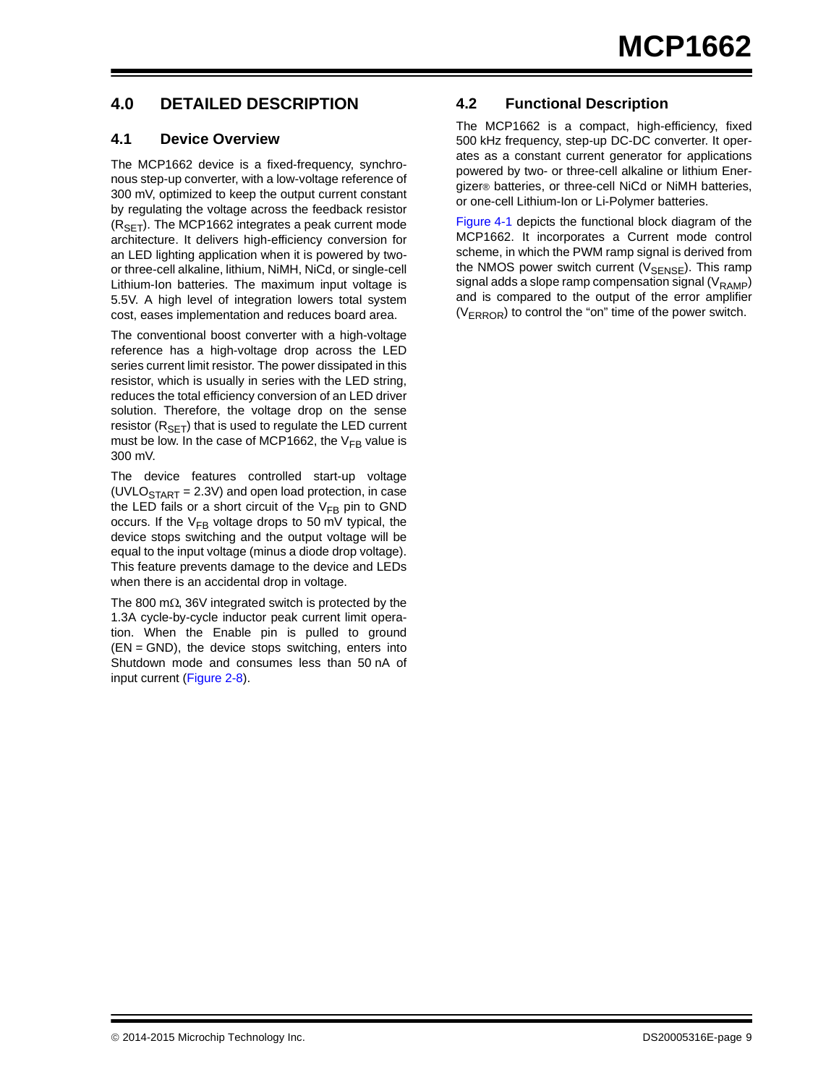# **4.0 DETAILED DESCRIPTION**

#### **4.1 Device Overview**

The MCP1662 device is a fixed-frequency, synchronous step-up converter, with a low-voltage reference of 300 mV, optimized to keep the output current constant by regulating the voltage across the feedback resistor  $(R<sub>SET</sub>)$ . The MCP1662 integrates a peak current mode architecture. It delivers high-efficiency conversion for an LED lighting application when it is powered by twoor three-cell alkaline, lithium, NiMH, NiCd, or single-cell Lithium-Ion batteries. The maximum input voltage is 5.5V. A high level of integration lowers total system cost, eases implementation and reduces board area.

The conventional boost converter with a high-voltage reference has a high-voltage drop across the LED series current limit resistor. The power dissipated in this resistor, which is usually in series with the LED string, reduces the total efficiency conversion of an LED driver solution. Therefore, the voltage drop on the sense resistor  $(R_{\text{SET}})$  that is used to regulate the LED current must be low. In the case of MCP1662, the  $V_{FB}$  value is 300 mV.

The device features controlled start-up voltage (UVLO $_{\text{STAT}}$  = 2.3V) and open load protection, in case the LED fails or a short circuit of the  $V_{FB}$  pin to GND occurs. If the  $V_{FB}$  voltage drops to 50 mV typical, the device stops switching and the output voltage will be equal to the input voltage (minus a diode drop voltage). This feature prevents damage to the device and LEDs when there is an accidental drop in voltage.

The 800 m $\Omega$ , 36V integrated switch is protected by the 1.3A cycle-by-cycle inductor peak current limit operation. When the Enable pin is pulled to ground (EN = GND), the device stops switching, enters into Shutdown mode and consumes less than 50 nA of input current [\(Figure 2-8](#page-5-1)).

#### **4.2 Functional Description**

The MCP1662 is a compact, high-efficiency, fixed 500 kHz frequency, step-up DC-DC converter. It operates as a constant current generator for applications powered by two- or three-cell alkaline or lithium Energizer® batteries, or three-cell NiCd or NiMH batteries, or one-cell Lithium-Ion or Li-Polymer batteries.

[Figure 4-1](#page-9-0) depicts the functional block diagram of the MCP1662. It incorporates a Current mode control scheme, in which the PWM ramp signal is derived from the NMOS power switch current ( $V_{\text{SFNSF}}$ ). This ramp signal adds a slope ramp compensation signal  $(V_{RAMP})$ and is compared to the output of the error amplifier  $(V_{\text{FRRROR}})$  to control the "on" time of the power switch.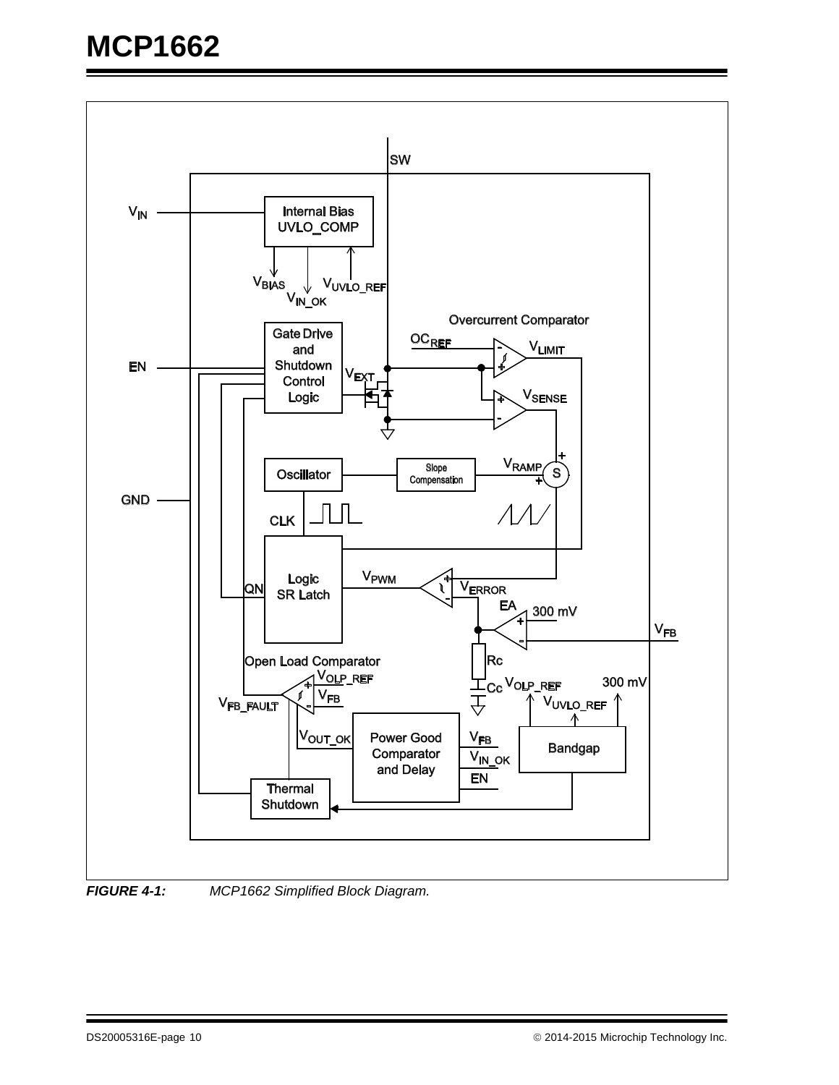<span id="page-9-0"></span>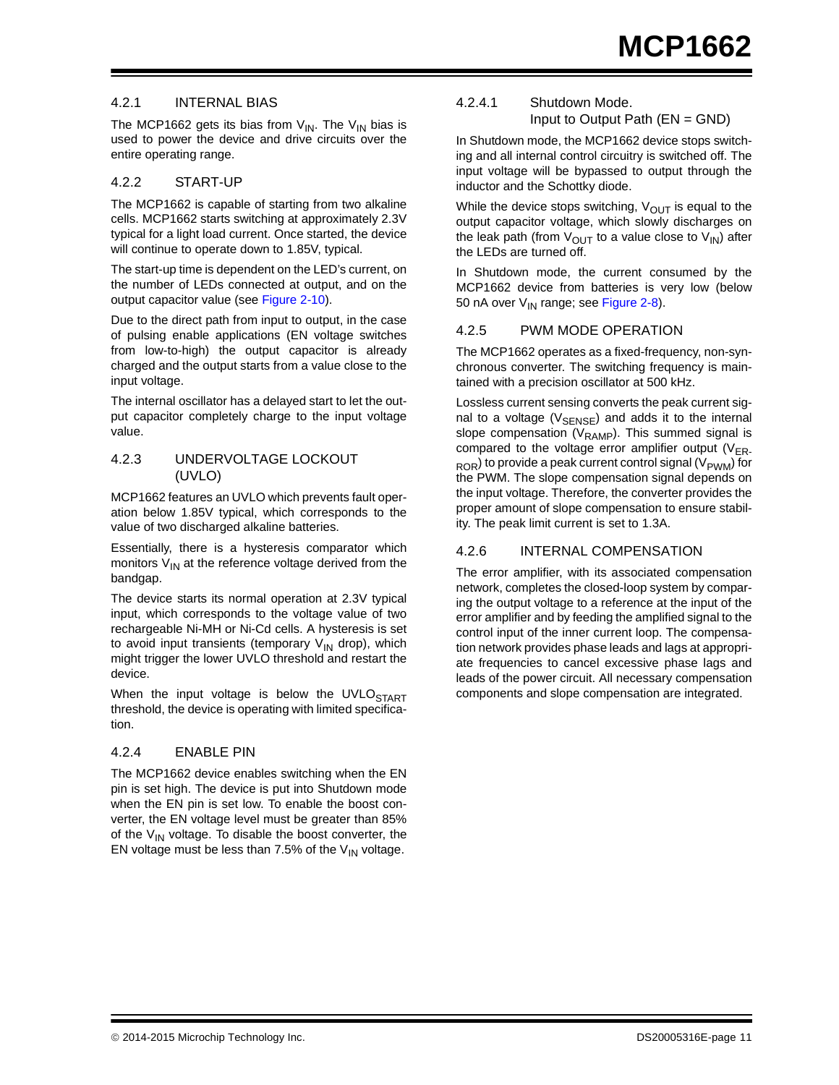#### 4.2.1 INTERNAL BIAS

The MCP1662 gets its bias from  $V_{IN}$ . The  $V_{IN}$  bias is used to power the device and drive circuits over the entire operating range.

#### <span id="page-10-0"></span>4.2.2 START-UP

The MCP1662 is capable of starting from two alkaline cells. MCP1662 starts switching at approximately 2.3V typical for a light load current. Once started, the device will continue to operate down to 1.85V, typical.

The start-up time is dependent on the LED's current, on the number of LEDs connected at output, and on the output capacitor value (see [Figure 2-10](#page-5-0)).

Due to the direct path from input to output, in the case of pulsing enable applications (EN voltage switches from low-to-high) the output capacitor is already charged and the output starts from a value close to the input voltage.

The internal oscillator has a delayed start to let the output capacitor completely charge to the input voltage value.

#### 4.2.3 UNDERVOLTAGE LOCKOUT (UVLO)

MCP1662 features an UVLO which prevents fault operation below 1.85V typical, which corresponds to the value of two discharged alkaline batteries.

Essentially, there is a hysteresis comparator which monitors  $V_{IN}$  at the reference voltage derived from the bandgap.

The device starts its normal operation at 2.3V typical input, which corresponds to the voltage value of two rechargeable Ni-MH or Ni-Cd cells. A hysteresis is set to avoid input transients (temporary  $V_{IN}$  drop), which might trigger the lower UVLO threshold and restart the device.

When the input voltage is below the UVLO $_{\text{STAT}}$ threshold, the device is operating with limited specification.

#### 4.2.4 ENABLE PIN

The MCP1662 device enables switching when the EN pin is set high. The device is put into Shutdown mode when the EN pin is set low. To enable the boost converter, the EN voltage level must be greater than 85% of the  $V_{IN}$  voltage. To disable the boost converter, the EN voltage must be less than 7.5% of the  $V_{IN}$  voltage.

#### 4.2.4.1 Shutdown Mode. Input to Output Path (EN = GND)

In Shutdown mode, the MCP1662 device stops switching and all internal control circuitry is switched off. The input voltage will be bypassed to output through the inductor and the Schottky diode.

While the device stops switching,  $V_{\text{OUT}}$  is equal to the output capacitor voltage, which slowly discharges on the leak path (from  $V_{\text{OUT}}$  to a value close to  $V_{\text{IN}}$ ) after the LEDs are turned off.

In Shutdown mode, the current consumed by the MCP1662 device from batteries is very low (below 50 nA over  $V_{IN}$  range; see [Figure 2-8\)](#page-5-1).

#### 4.2.5 PWM MODE OPERATION

The MCP1662 operates as a fixed-frequency, non-synchronous converter. The switching frequency is maintained with a precision oscillator at 500 kHz.

Lossless current sensing converts the peak current signal to a voltage ( $V_{\text{SENSE}}$ ) and adds it to the internal slope compensation ( $V_{\text{RAMP}}$ ). This summed signal is compared to the voltage error amplifier output ( $V_{FR}$ .  $_{ROR}$ ) to provide a peak current control signal ( $V_{\text{PWM}}$ ) for the PWM. The slope compensation signal depends on the input voltage. Therefore, the converter provides the proper amount of slope compensation to ensure stability. The peak limit current is set to 1.3A.

# <span id="page-10-1"></span>4.2.6 INTERNAL COMPENSATION

The error amplifier, with its associated compensation network, completes the closed-loop system by comparing the output voltage to a reference at the input of the error amplifier and by feeding the amplified signal to the control input of the inner current loop. The compensation network provides phase leads and lags at appropriate frequencies to cancel excessive phase lags and leads of the power circuit. All necessary compensation components and slope compensation are integrated.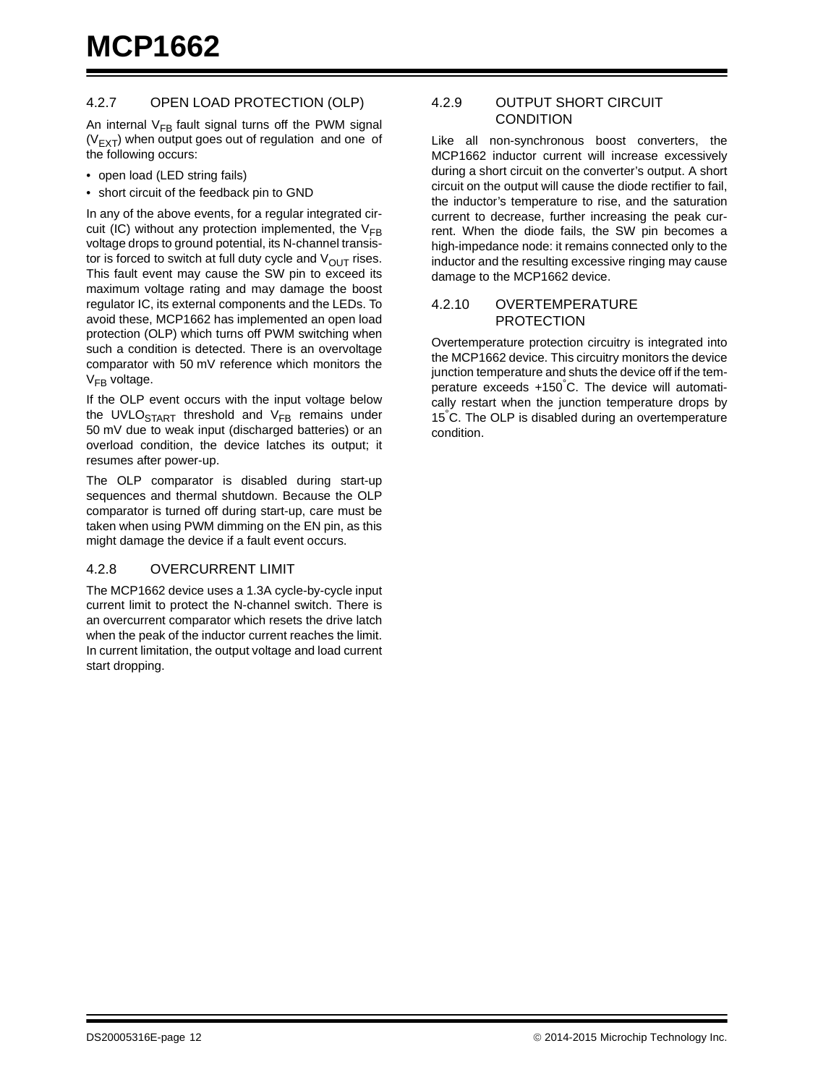#### 4.2.7 OPEN LOAD PROTECTION (OLP)

An internal  $V_{FB}$  fault signal turns off the PWM signal  $(V_{\text{EXT}})$  when output goes out of regulation and one of the following occurs:

- open load (LED string fails)
- short circuit of the feedback pin to GND

In any of the above events, for a regular integrated circuit (IC) without any protection implemented, the  $V_{FB}$ voltage drops to ground potential, its N-channel transistor is forced to switch at full duty cycle and  $V_{\text{OUT}}$  rises. This fault event may cause the SW pin to exceed its maximum voltage rating and may damage the boost regulator IC, its external components and the LEDs. To avoid these, MCP1662 has implemented an open load protection (OLP) which turns off PWM switching when such a condition is detected. There is an overvoltage comparator with 50 mV reference which monitors the  $V_{FR}$  voltage.

If the OLP event occurs with the input voltage below the UVLO $_{\text{STAT}}$  threshold and V<sub>FB</sub> remains under 50 mV due to weak input (discharged batteries) or an overload condition, the device latches its output; it resumes after power-up.

The OLP comparator is disabled during start-up sequences and thermal shutdown. Because the OLP comparator is turned off during start-up, care must be taken when using PWM dimming on the EN pin, as this might damage the device if a fault event occurs.

#### 4.2.8 OVERCURRENT LIMIT

The MCP1662 device uses a 1.3A cycle-by-cycle input current limit to protect the N-channel switch. There is an overcurrent comparator which resets the drive latch when the peak of the inductor current reaches the limit. In current limitation, the output voltage and load current start dropping.

#### <span id="page-11-0"></span>4.2.9 OUTPUT SHORT CIRCUIT **CONDITION**

Like all non-synchronous boost converters, the MCP1662 inductor current will increase excessively during a short circuit on the converter's output. A short circuit on the output will cause the diode rectifier to fail, the inductor's temperature to rise, and the saturation current to decrease, further increasing the peak current. When the diode fails, the SW pin becomes a high-impedance node: it remains connected only to the inductor and the resulting excessive ringing may cause damage to the MCP1662 device.

#### 4.2.10 OVERTEMPERATURE PROTECTION

Overtemperature protection circuitry is integrated into the MCP1662 device. This circuitry monitors the device junction temperature and shuts the device off if the temperature exceeds +150° C. The device will automatically restart when the junction temperature drops by 15° C. The OLP is disabled during an overtemperature condition.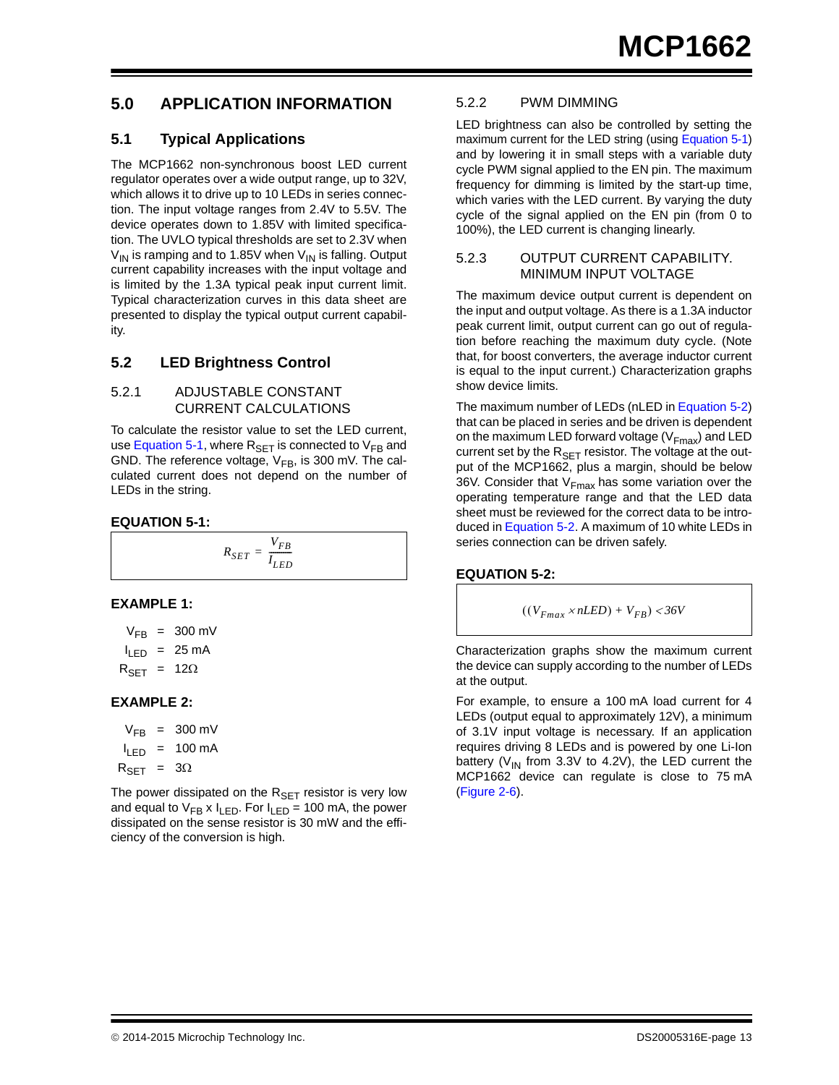# **5.0 APPLICATION INFORMATION**

# **5.1 Typical Applications**

The MCP1662 non-synchronous boost LED current regulator operates over a wide output range, up to 32V, which allows it to drive up to 10 LEDs in series connection. The input voltage ranges from 2.4V to 5.5V. The device operates down to 1.85V with limited specification. The UVLO typical thresholds are set to 2.3V when  $V_{1N}$  is ramping and to 1.85V when  $V_{1N}$  is falling. Output current capability increases with the input voltage and is limited by the 1.3A typical peak input current limit. Typical characterization curves in this data sheet are presented to display the typical output current capability.

# **5.2 LED Brightness Control**

#### 5.2.1 ADJUSTABLE CONSTANT CURRENT CALCULATIONS

To calculate the resistor value to set the LED current, use [Equation 5-1,](#page-12-0) where  $R_{\text{SET}}$  is connected to  $V_{FB}$  and GND. The reference voltage,  $V_{FB}$ , is 300 mV. The calculated current does not depend on the number of LEDs in the string.

 $=\frac{FB}{I_{LED}}$ 

#### <span id="page-12-0"></span>**EQUATION 5-1:**

 $R_{SET} = \frac{V_{FB}}{I}$ 

#### **EXAMPLE 1:**

 $V_{FB}$  = 300 mV  $I_{LED}$  = 25 mA  $R_{\text{SFT}} = 12\Omega$ 

#### **EXAMPLE 2:**

 $V_{FB}$  = 300 mV  $I_{\text{LED}}$  = 100 mA  $R_{\text{SET}}$  = 30

The power dissipated on the  $R_{\text{SET}}$  resistor is very low and equal to  $V_{FB}$  x  $I_{LED}$ . For  $I_{LED}$  = 100 mA, the power dissipated on the sense resistor is 30 mW and the efficiency of the conversion is high.

#### 5.2.2 PWM DIMMING

LED brightness can also be controlled by setting the maximum current for the LED string (using [Equation 5-1](#page-12-0)) and by lowering it in small steps with a variable duty cycle PWM signal applied to the EN pin. The maximum frequency for dimming is limited by the start-up time, which varies with the LED current. By varying the duty cycle of the signal applied on the EN pin (from 0 to 100%), the LED current is changing linearly.

#### 5.2.3 OUTPUT CURRENT CAPABILITY. MINIMUM INPUT VOLTAGE

The maximum device output current is dependent on the input and output voltage. As there is a 1.3A inductor peak current limit, output current can go out of regulation before reaching the maximum duty cycle. (Note that, for boost converters, the average inductor current is equal to the input current.) Characterization graphs show device limits.

The maximum number of LEDs (nLED in [Equation 5-2\)](#page-12-1) that can be placed in series and be driven is dependent on the maximum LED forward voltage ( $V_{Fmax}$ ) and LED current set by the  $R_{\text{SET}}$  resistor. The voltage at the output of the MCP1662, plus a margin, should be below 36V. Consider that  $V_{Fmax}$  has some variation over the operating temperature range and that the LED data sheet must be reviewed for the correct data to be introduced in [Equation 5-2.](#page-12-1) A maximum of 10 white LEDs in series connection can be driven safely.

#### <span id="page-12-1"></span>**EQUATION 5-2:**

$$
((V_{Fmax} \times nLED) + V_{FB}) < 36V
$$

Characterization graphs show the maximum current the device can supply according to the number of LEDs at the output.

For example, to ensure a 100 mA load current for 4 LEDs (output equal to approximately 12V), a minimum of 3.1V input voltage is necessary. If an application requires driving 8 LEDs and is powered by one Li-Ion battery ( $V_{IN}$  from 3.3V to 4.2V), the LED current the MCP1662 device can regulate is close to 75 mA ([Figure 2-6\)](#page-4-0).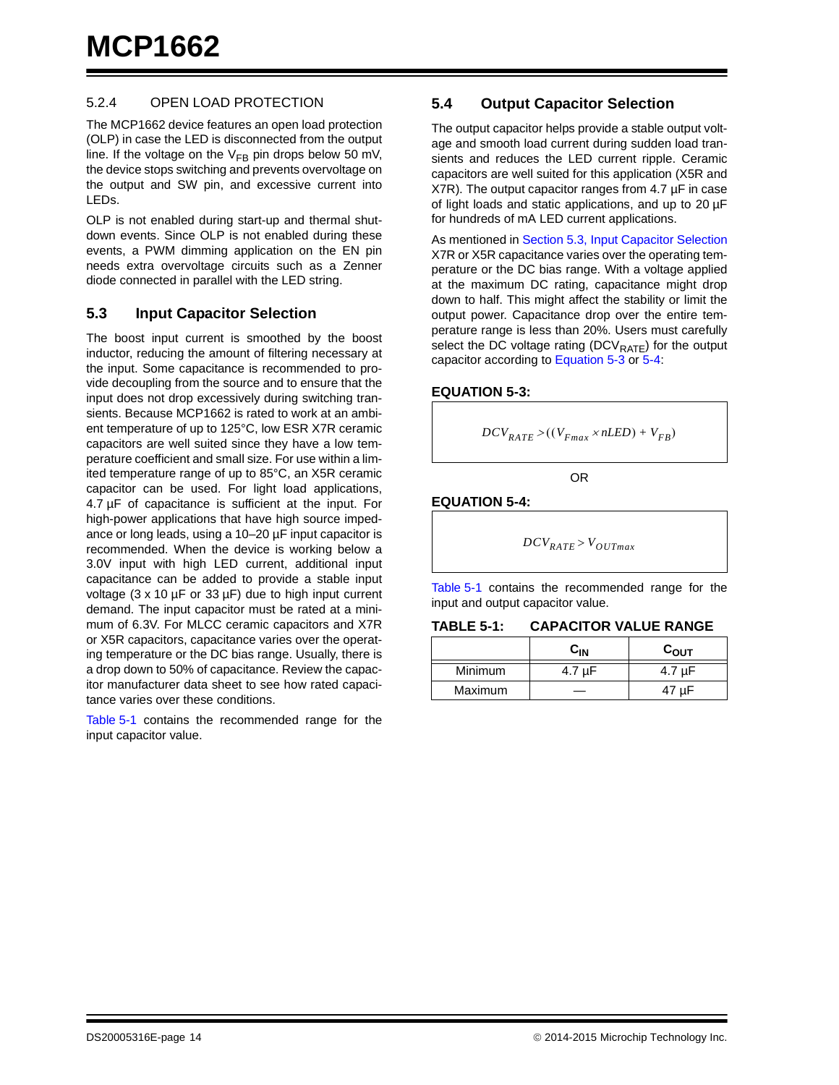#### 5.2.4 OPEN LOAD PROTECTION

The MCP1662 device features an open load protection (OLP) in case the LED is disconnected from the output line. If the voltage on the  $V_{FB}$  pin drops below 50 mV, the device stops switching and prevents overvoltage on the output and SW pin, and excessive current into LEDs.

OLP is not enabled during start-up and thermal shutdown events. Since OLP is not enabled during these events, a PWM dimming application on the EN pin needs extra overvoltage circuits such as a Zenner diode connected in parallel with the LED string.

#### <span id="page-13-1"></span>**5.3 Input Capacitor Selection**

The boost input current is smoothed by the boost inductor, reducing the amount of filtering necessary at the input. Some capacitance is recommended to provide decoupling from the source and to ensure that the input does not drop excessively during switching transients. Because MCP1662 is rated to work at an ambient temperature of up to 125°C, low ESR X7R ceramic capacitors are well suited since they have a low temperature coefficient and small size. For use within a limited temperature range of up to 85°C, an X5R ceramic capacitor can be used. For light load applications, 4.7 µF of capacitance is sufficient at the input. For high-power applications that have high source impedance or long leads, using a 10–20 µF input capacitor is recommended. When the device is working below a 3.0V input with high LED current, additional input capacitance can be added to provide a stable input voltage  $(3 \times 10 \,\mu\text{F}$  or  $33 \,\mu\text{F})$  due to high input current demand. The input capacitor must be rated at a minimum of 6.3V. For MLCC ceramic capacitors and X7R or X5R capacitors, capacitance varies over the operating temperature or the DC bias range. Usually, there is a drop down to 50% of capacitance. Review the capacitor manufacturer data sheet to see how rated capacitance varies over these conditions.

[Table 5-1](#page-13-0) contains the recommended range for the input capacitor value.

#### **5.4 Output Capacitor Selection**

The output capacitor helps provide a stable output voltage and smooth load current during sudden load transients and reduces the LED current ripple. Ceramic capacitors are well suited for this application (X5R and X7R). The output capacitor ranges from 4.7 µF in case of light loads and static applications, and up to 20 µF for hundreds of mA LED current applications.

As mentioned in [Section 5.3, Input Capacitor Selection](#page-13-1) X7R or X5R capacitance varies over the operating temperature or the DC bias range. With a voltage applied at the maximum DC rating, capacitance might drop down to half. This might affect the stability or limit the output power. Capacitance drop over the entire temperature range is less than 20%. Users must carefully select the DC voltage rating (DCV $_{\text{RATE}}$ ) for the output capacitor according to Equation [5-3](#page-13-2) or [5-4](#page-13-3):

#### <span id="page-13-2"></span>**EQUATION 5-3:**

$$
DCV_{RATE} > ((V_{Fmax} \times nLED) + V_{FB})
$$

OR

#### <span id="page-13-3"></span>**EQUATION 5-4:**

$$
DCV_{RATE} > V_{OUTmax}
$$

[Table 5-1](#page-13-0) contains the recommended range for the input and output capacitor value.

<span id="page-13-0"></span>

|  | <b>TABLE 5-1:</b> | <b>CAPACITOR VALUE RANGE</b> |
|--|-------------------|------------------------------|
|--|-------------------|------------------------------|

|                | $\mathbf{C_{IN}}$ | $c_{\text{out}}$ |
|----------------|-------------------|------------------|
| <b>Minimum</b> | иF<br>4.7         | 4.7 µF           |
| <b>Maximum</b> |                   | шE               |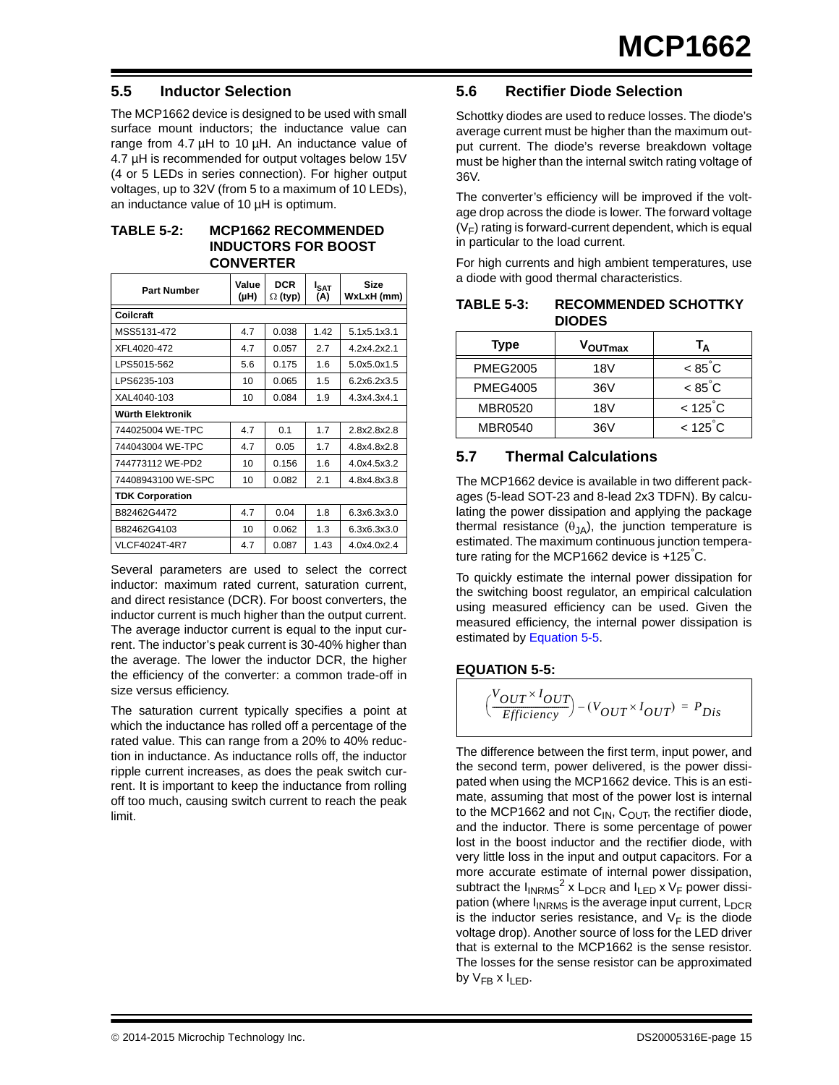# **5.5 Inductor Selection**

The MCP1662 device is designed to be used with small surface mount inductors; the inductance value can range from 4.7 µH to 10 µH. An inductance value of 4.7 µH is recommended for output voltages below 15V (4 or 5 LEDs in series connection). For higher output voltages, up to 32V (from 5 to a maximum of 10 LEDs), an inductance value of 10 µH is optimum.

| <b>TABLE 5-2:</b> | <b>MCP1662 RECOMMENDED</b> |
|-------------------|----------------------------|
|                   | <b>INDUCTORS FOR BOOST</b> |
|                   | <b>CONVERTER</b>           |

| <b>Part Number</b>      | Value<br>(µH) | <b>DCR</b><br>$\Omega$ (typ) | $I_{\mathbf{SAT}}$<br>(A) | Size<br>WxLxH (mm) |
|-------------------------|---------------|------------------------------|---------------------------|--------------------|
| Coilcraft               |               |                              |                           |                    |
| MSS5131-472             | 4.7           | 0.038                        | 1.42                      | 5.1x5.1x3.1        |
| XFL4020-472             | 4.7           | 0.057                        | 2.7                       | 4 2x4 2x2 1        |
| LPS5015-562             | 5.6           | 0.175                        | 1.6                       | 5.0x5.0x1.5        |
| LPS6235-103             | 10            | 0.065                        | 1.5                       | 6.2x6.2x3.5        |
| XAL4040-103             | 10            | 0.084                        | 1.9                       | 4.3x4.3x4.1        |
| <b>Würth Elektronik</b> |               |                              |                           |                    |
| 744025004 WE-TPC        | 4.7           | 0.1                          | 1.7                       | 2.8x2.8x2.8        |
| 744043004 WE-TPC        | 4.7           | 0.05                         | 1.7                       | 4.8x4.8x2.8        |
| 744773112 WE-PD2        | 10            | 0.156                        | 1.6                       | 4.0x4.5x3.2        |
| 74408943100 WE-SPC      | 10            | 0.082                        | 2.1                       | 4.8x4.8x3.8        |
| <b>TDK Corporation</b>  |               |                              |                           |                    |
| B82462G4472             | 4.7           | 0.04                         | 1.8                       | 6.3x6.3x3.0        |
| B82462G4103             | 10            | 0.062                        | 1.3                       | 6.3x6.3x3.0        |
| <b>VLCF4024T-4R7</b>    | 4.7           | 0.087                        | 1.43                      | 4.0x4.0x2.4        |

Several parameters are used to select the correct inductor: maximum rated current, saturation current, and direct resistance (DCR). For boost converters, the inductor current is much higher than the output current. The average inductor current is equal to the input current. The inductor's peak current is 30-40% higher than the average. The lower the inductor DCR, the higher the efficiency of the converter: a common trade-off in size versus efficiency.

The saturation current typically specifies a point at which the inductance has rolled off a percentage of the rated value. This can range from a 20% to 40% reduction in inductance. As inductance rolls off, the inductor ripple current increases, as does the peak switch current. It is important to keep the inductance from rolling off too much, causing switch current to reach the peak limit.

# **5.6 Rectifier Diode Selection**

Schottky diodes are used to reduce losses. The diode's average current must be higher than the maximum output current. The diode's reverse breakdown voltage must be higher than the internal switch rating voltage of 36V.

The converter's efficiency will be improved if the voltage drop across the diode is lower. The forward voltage  $(V_F)$  rating is forward-current dependent, which is equal in particular to the load current.

For high currents and high ambient temperatures, use a diode with good thermal characteristics.

| <b>TABLE 5-3:</b> | <b>RECOMMENDED SCHOTTKY</b> |
|-------------------|-----------------------------|
|                   | <b>DIODES</b>               |

| <b>Type</b>     | V <sub>OUTmax</sub> | ۱A.               |
|-----------------|---------------------|-------------------|
| <b>PMEG2005</b> | 18V                 | $< 85^{\circ}$ C  |
| <b>PMEG4005</b> | 36V                 | $< 85^{\circ}$ C  |
| <b>MBR0520</b>  | 18V                 | $< 125^{\circ}$ C |
| <b>MBR0540</b>  | 36V                 | $< 125^{\circ}$ C |

# **5.7 Thermal Calculations**

The MCP1662 device is available in two different packages (5-lead SOT-23 and 8-lead 2x3 TDFN). By calculating the power dissipation and applying the package thermal resistance  $(\theta_{JA})$ , the junction temperature is estimated. The maximum continuous junction temperature rating for the MCP1662 device is +125° C.

To quickly estimate the internal power dissipation for the switching boost regulator, an empirical calculation using measured efficiency can be used. Given the measured efficiency, the internal power dissipation is estimated by [Equation 5-5](#page-14-0).

# <span id="page-14-0"></span>**EQUATION 5-5:**

$$
\Big(\frac{V_{OUT} \times I_{OUT}}{Efficiency}\Big) - (V_{OUT} \times I_{OUT}) = P_{Dis}
$$

The difference between the first term, input power, and the second term, power delivered, is the power dissipated when using the MCP1662 device. This is an estimate, assuming that most of the power lost is internal to the MCP1662 and not  $C_{IN}$ ,  $C_{OUT}$ , the rectifier diode, and the inductor. There is some percentage of power lost in the boost inductor and the rectifier diode, with very little loss in the input and output capacitors. For a more accurate estimate of internal power dissipation, subtract the  $I_{\text{INRMS}}^2$  x  $L_{\text{DCR}}$  and  $I_{\text{LED}}$  x  $V_{\text{F}}$  power dissipation (where  $I_{INRMS}$  is the average input current,  $L_{DCR}$ is the inductor series resistance, and  $V_F$  is the diode voltage drop). Another source of loss for the LED driver that is external to the MCP1662 is the sense resistor. The losses for the sense resistor can be approximated by  $V_{FB}$  x  $I_{LED}$ .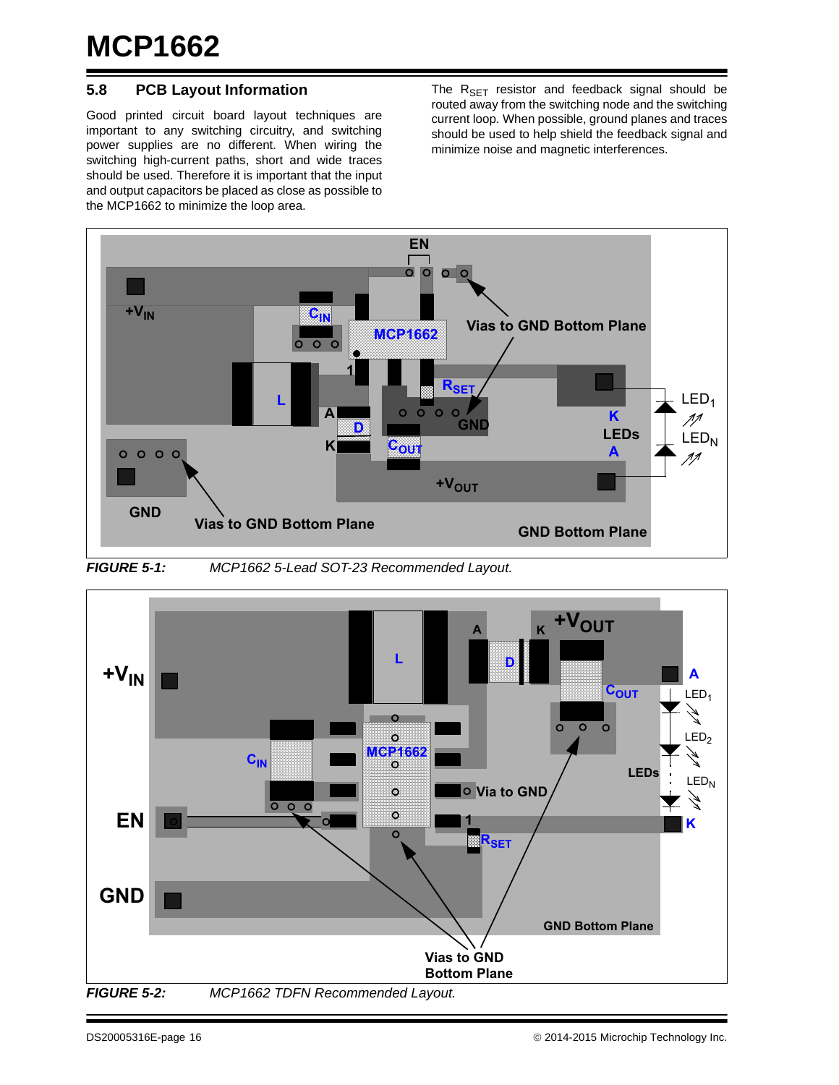**MCP1662**

#### **5.8 PCB Layout Information**

Good printed circuit board layout techniques are important to any switching circuitry, and switching power supplies are no different. When wiring the switching high-current paths, short and wide traces should be used. Therefore it is important that the input and output capacitors be placed as close as possible to the MCP1662 to minimize the loop area.

The  $R_{\text{SET}}$  resistor and feedback signal should be routed away from the switching node and the switching current loop. When possible, ground planes and traces should be used to help shield the feedback signal and minimize noise and magnetic interferences.



<span id="page-15-0"></span>*FIGURE 5-1: MCP1662 5-Lead SOT-23 Recommended Layout.*

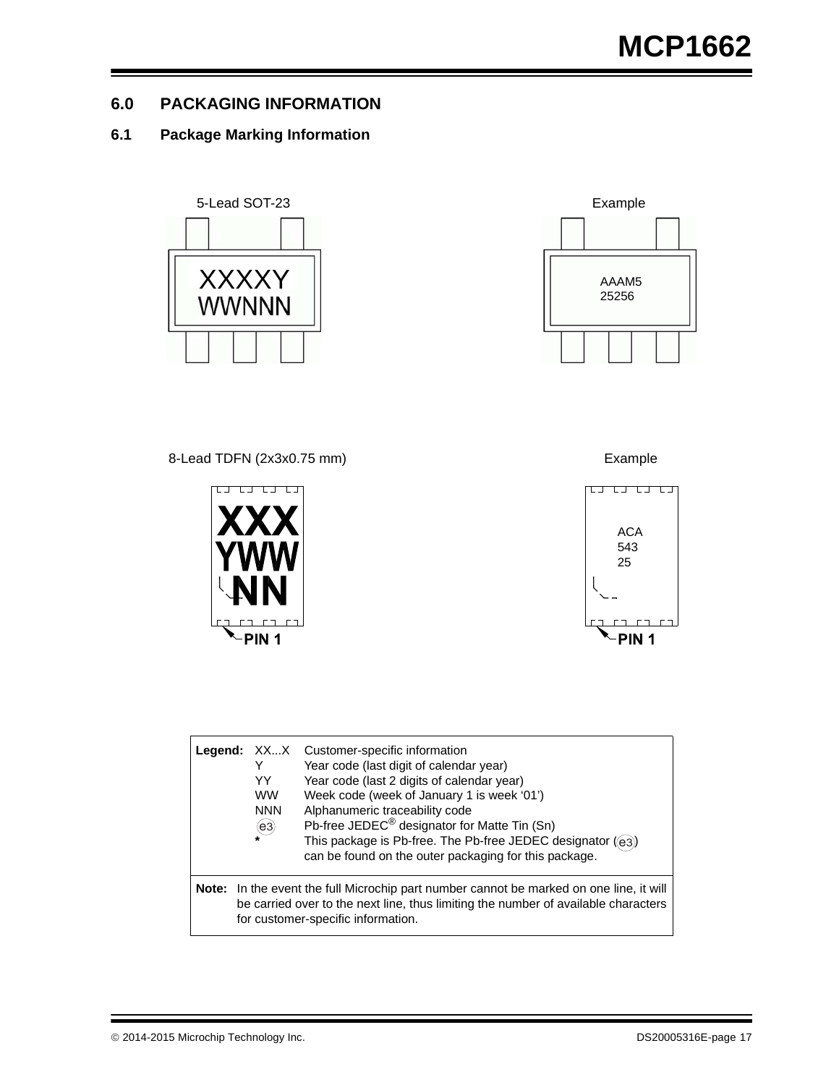# <span id="page-16-0"></span>**6.0 PACKAGING INFORMATION**

# **6.1 Package Marking Information**





8-Lead TDFN (2x3x0.75 mm) Example







| YY<br><b>WW</b><br><b>NNN</b><br>$\mathsf{(e3)}$ | <b>Legend:</b> XXX Customer-specific information<br>Year code (last digit of calendar year)<br>Year code (last 2 digits of calendar year)<br>Week code (week of January 1 is week '01')<br>Alphanumeric traceability code<br>Pb-free JEDEC <sup>®</sup> designator for Matte Tin (Sn)<br>This package is Pb-free. The Pb-free JEDEC designator ((e3))<br>can be found on the outer packaging for this package. |
|--------------------------------------------------|----------------------------------------------------------------------------------------------------------------------------------------------------------------------------------------------------------------------------------------------------------------------------------------------------------------------------------------------------------------------------------------------------------------|
|                                                  | Note: In the event the full Microchip part number cannot be marked on one line, it will<br>be carried over to the next line, thus limiting the number of available characters<br>for customer-specific information.                                                                                                                                                                                            |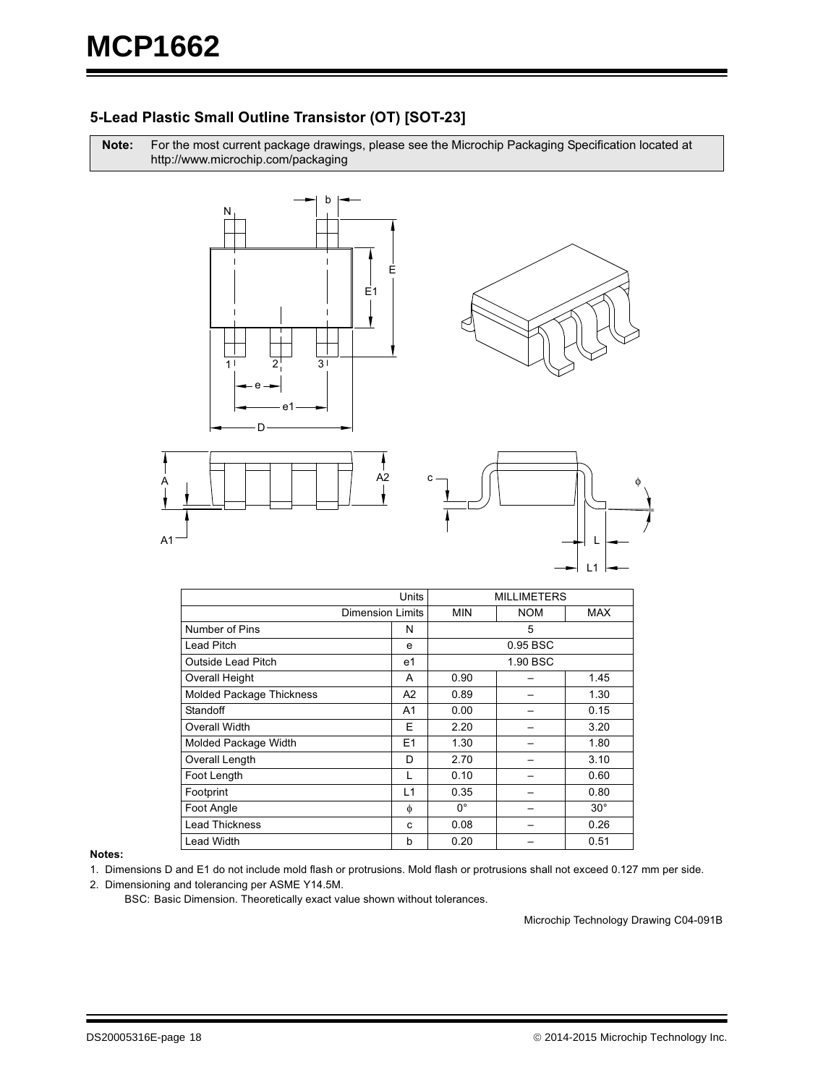# 5-Lead Plastic Small Outline Transistor (OT) [SOT-23]

Note: For the most current package drawings, please see the Microchip Packaging Specification located at http://www.microchip.com/packaging









| Units                           |                | <b>MILLIMETERS</b> |            |              |
|---------------------------------|----------------|--------------------|------------|--------------|
| <b>Dimension Limits</b>         |                | <b>MIN</b>         | <b>NOM</b> | <b>MAX</b>   |
| Number of Pins                  | N              | 5                  |            |              |
| Lead Pitch                      | e              | 0.95 BSC           |            |              |
| <b>Outside Lead Pitch</b>       | e1             | 1.90 BSC           |            |              |
| Overall Height                  | A              | 0.90               |            | 1.45         |
| <b>Molded Package Thickness</b> | A2             | 0.89               |            | 1.30         |
| Standoff                        | A <sub>1</sub> | 0.00               |            | 0.15         |
| Overall Width                   | Е              | 2.20               |            | 3.20         |
| Molded Package Width            | E <sub>1</sub> | 1.30               |            | 1.80         |
| Overall Length                  | D              | 2.70               |            | 3.10         |
| Foot Length                     | L              | 0.10               |            | 0.60         |
| Footprint                       | L1             | 0.35               |            | 0.80         |
| Foot Angle                      | φ              | $0^{\circ}$        |            | $30^{\circ}$ |
| <b>Lead Thickness</b>           | C              | 0.08               |            | 0.26         |
| <b>Lead Width</b>               | b              | 0.20               |            | 0.51         |

#### Notes:

1. Dimensions D and E1 do not include mold flash or protrusions. Mold flash or protrusions shall not exceed 0.127 mm per side.

2. Dimensioning and tolerancing per ASME Y14.5M.

BSC: Basic Dimension. Theoretically exact value shown without tolerances.

Microchip Technology Drawing C04-091B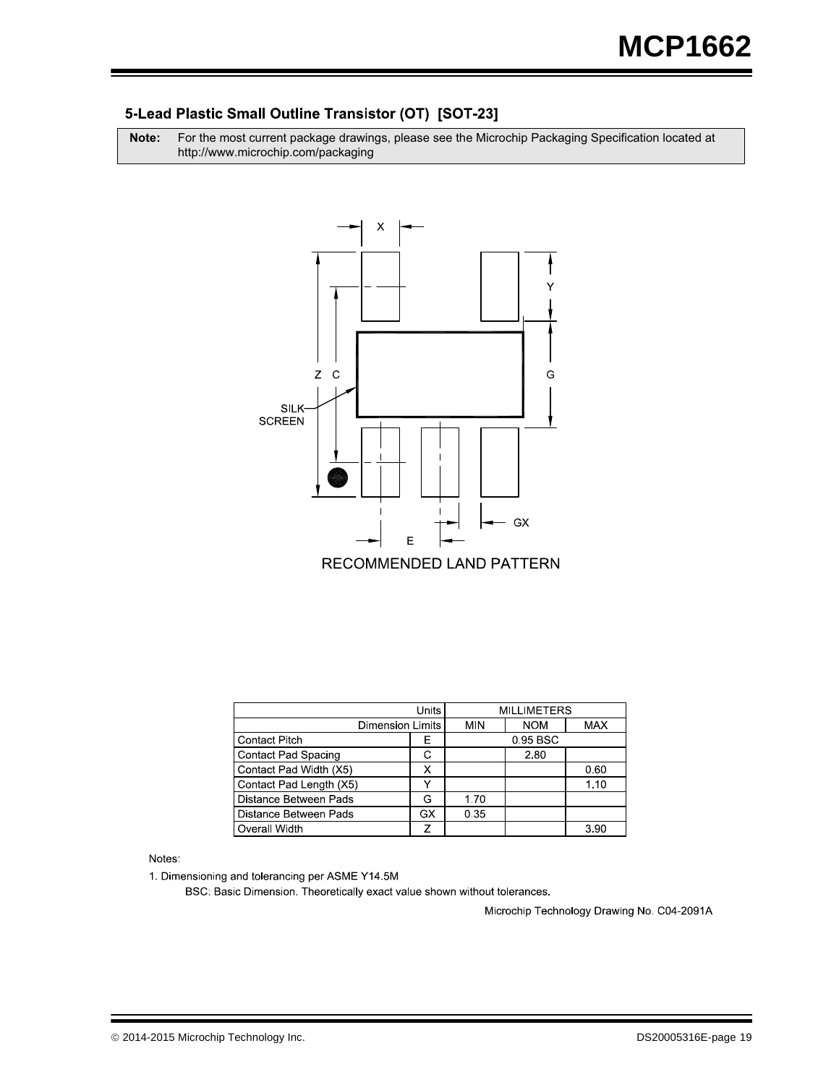# 5-Lead Plastic Small Outline Transistor (OT) [SOT-23]

**Note:** For the most current package drawings, please see the Microchip Packaging Specification located at http://www.microchip.com/packaging



| <b>Units</b>               |    | <b>MILLIMETERS</b> |            |            |
|----------------------------|----|--------------------|------------|------------|
| Dimension Limits           |    | <b>MIN</b>         | <b>NOM</b> | <b>MAX</b> |
| <b>Contact Pitch</b>       | F  | 095 BSC            |            |            |
| <b>Contact Pad Spacing</b> | С  |                    | 280        |            |
| Contact Pad Width (X5)     |    |                    |            | 0.60       |
| Contact Pad Length (X5)    |    |                    |            | 1.10       |
| Distance Between Pads      | G  | 1.70               |            |            |
| Distance Between Pads      | GX | 0.35               |            |            |
| Overall Width              |    |                    |            | 3.90       |

#### Notes:

1. Dimensioning and tolerancing per ASME Y14.5M

BSC: Basic Dimension. Theoretically exact value shown without tolerances.

Microchip Technology Drawing No. C04-2091A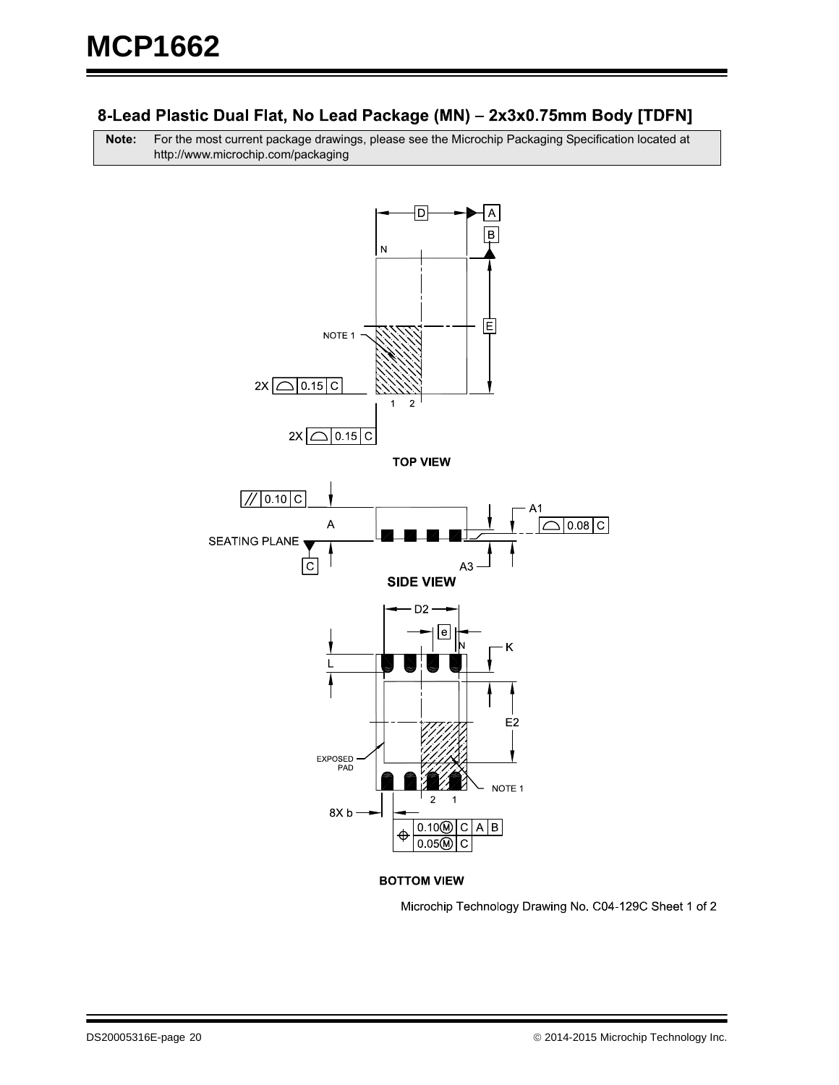# 8-Lead Plastic Dual Flat, No Lead Package (MN) - 2x3x0.75mm Body [TDFN]

**Note:** For the most current package drawings, please see the Microchip Packaging Specification located at http://www.microchip.com/packaging



#### **BOTTOM VIEW**

Microchip Technology Drawing No. C04-129C Sheet 1 of 2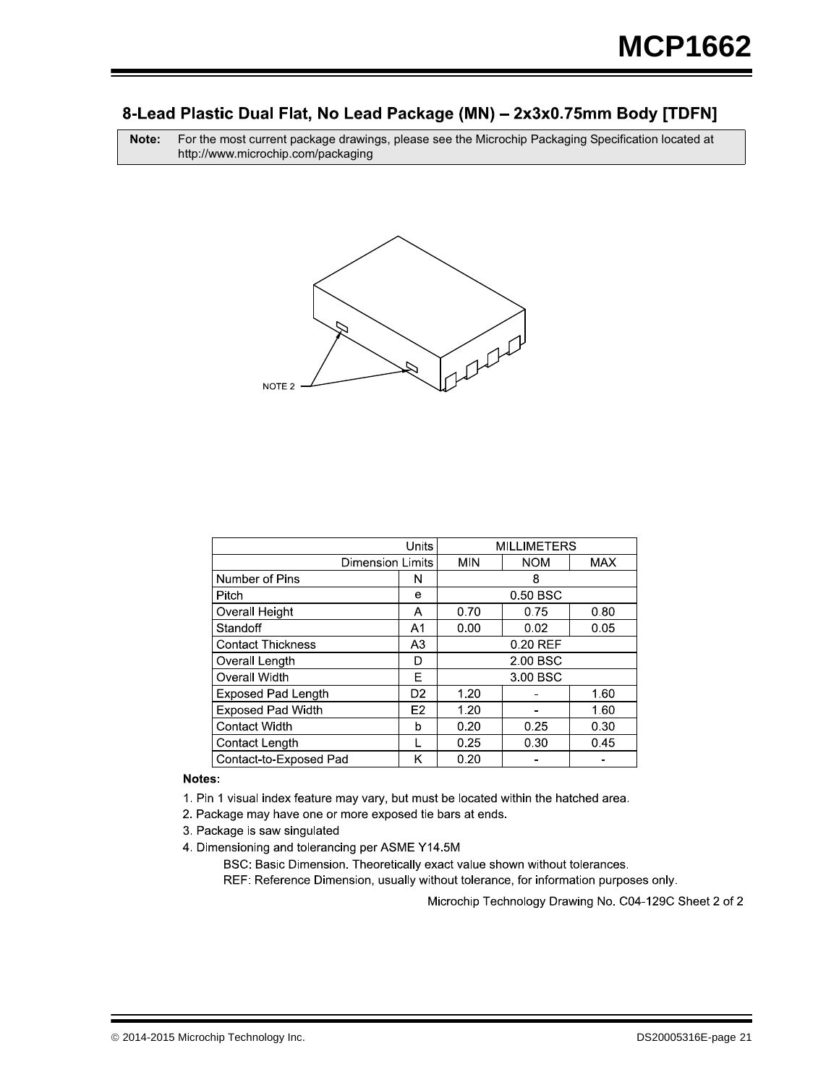# 8-Lead Plastic Dual Flat, No Lead Package (MN) - 2x3x0.75mm Body [TDFN]

**Note:** For the most current package drawings, please see the Microchip Packaging Specification located at http://www.microchip.com/packaging



| Units                     |                | <b>MILLIMETERS</b> |            |            |
|---------------------------|----------------|--------------------|------------|------------|
| <b>Dimension Limits</b>   |                | MIN                | <b>NOM</b> | <b>MAX</b> |
| Number of Pins            | N              | 8                  |            |            |
| Pitch                     | е              | 0.50 BSC           |            |            |
| Overall Height            | А              | 0.70               | 0.75       | 0.80       |
| Standoff                  | A1             | 0.00               | 0.02       | 0.05       |
| <b>Contact Thickness</b>  | A3             | 0.20 REF           |            |            |
| Overall Length            | D              | 2.00 BSC           |            |            |
| Overall Width             | E              | 3.00 BSC           |            |            |
| <b>Exposed Pad Length</b> | D <sub>2</sub> | 1.20               |            | 1.60       |
| <b>Exposed Pad Width</b>  | E <sub>2</sub> | 1.20               |            | 1.60       |
| <b>Contact Width</b>      | b              | 0.20               | 0.25       | 0.30       |
| <b>Contact Length</b>     |                | 0.25               | 0.30       | 0.45       |
| Contact-to-Exposed Pad    | κ              | 0.20               |            |            |

#### Notes:

- 1. Pin 1 visual index feature may vary, but must be located within the hatched area.
- 2. Package may have one or more exposed tie bars at ends.
- 3. Package is saw singulated
- 4. Dimensioning and tolerancing per ASME Y14.5M
	- BSC: Basic Dimension. Theoretically exact value shown without tolerances. REF: Reference Dimension, usually without tolerance, for information purposes only.

Microchip Technology Drawing No. C04-129C Sheet 2 of 2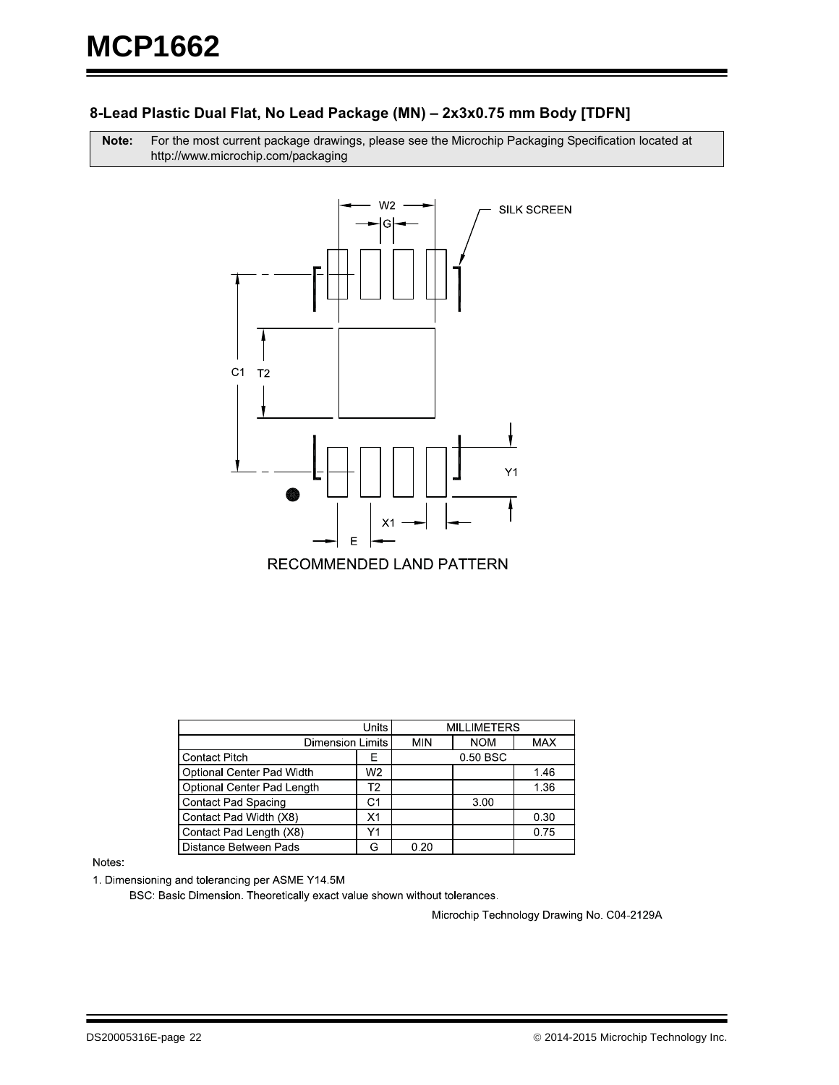# 8-Lead Plastic Dual Flat, No Lead Package (MN) – 2x3x0.75 mm Body [TDFN]

Note: For the most current package drawings, please see the Microchip Packaging Specification located at http://www.microchip.com/packaging



| Units                      |                | <b>MILLIMETERS</b> |            |            |
|----------------------------|----------------|--------------------|------------|------------|
| <b>Dimension Limits</b>    |                | <b>MIN</b>         | <b>NOM</b> | <b>MAX</b> |
| <b>Contact Pitch</b>       |                | 0.50 BSC           |            |            |
| Optional Center Pad Width  | W <sub>2</sub> |                    |            | 1.46       |
| Optional Center Pad Length | T2             |                    |            | 1.36       |
| <b>Contact Pad Spacing</b> | C1             |                    | 3.00       |            |
| Contact Pad Width (X8)     | X <sub>1</sub> |                    |            | 0.30       |
| Contact Pad Length (X8)    | Y1             |                    |            | 0.75       |
| Distance Between Pads      |                | 0.20               |            |            |

#### Notes:

1. Dimensioning and tolerancing per ASME Y14.5M

BSC: Basic Dimension. Theoretically exact value shown without tolerances.

Microchip Technology Drawing No. C04-2129A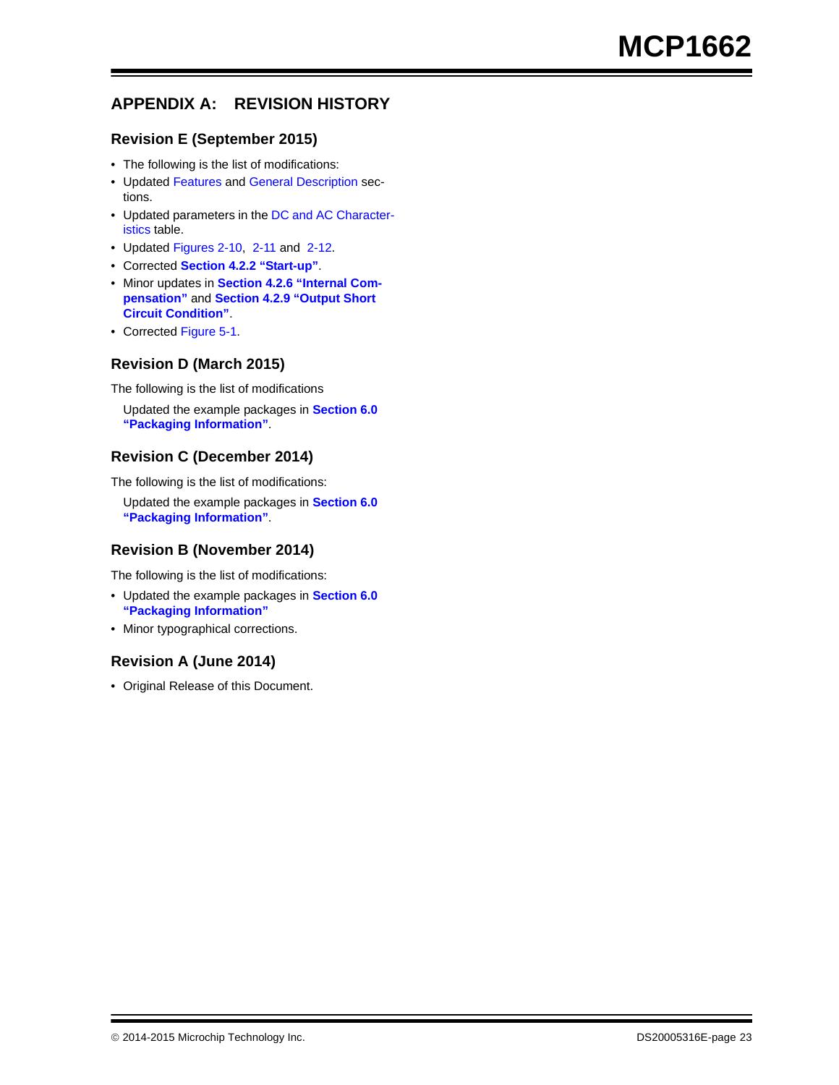# **APPENDIX A: REVISION HISTORY**

# **Revision E (September 2015)**

- The following is the list of modifications:
- Updated [Features](#page-0-0) and [General Description](#page-0-1) sections.
- Updated parameters in the [DC and AC Character](#page-2-2)[istics](#page-2-2) table.
- Updated [Figures 2-10,](#page-5-2) [2-11](#page-5-3) and [2-12](#page-5-4).
- Corrected **[Section 4.2.2 "Start-up"](#page-10-0)**.
- Minor updates in **[Section 4.2.6 "Internal Com](#page-10-1)[pensation"](#page-10-1)** and **[Section 4.2.9 "Output Short](#page-11-0)  [Circuit Condition"](#page-11-0)**.
- Corrected [Figure 5-1.](#page-15-0)

#### **Revision D (March 2015)**

The following is the list of modifications

Updated the example packages in **[Section 6.0](#page-16-0)  ["Packaging Information"](#page-16-0)**.

# **Revision C (December 2014)**

The following is the list of modifications:

Updated the example packages in **[Section 6.0](#page-16-0)  ["Packaging Information"](#page-16-0)**.

#### **Revision B (November 2014)**

The following is the list of modifications:

- Updated the example packages in **[Section 6.0](#page-16-0)  ["Packaging Information"](#page-16-0)**
- Minor typographical corrections.

# **Revision A (June 2014)**

• Original Release of this Document.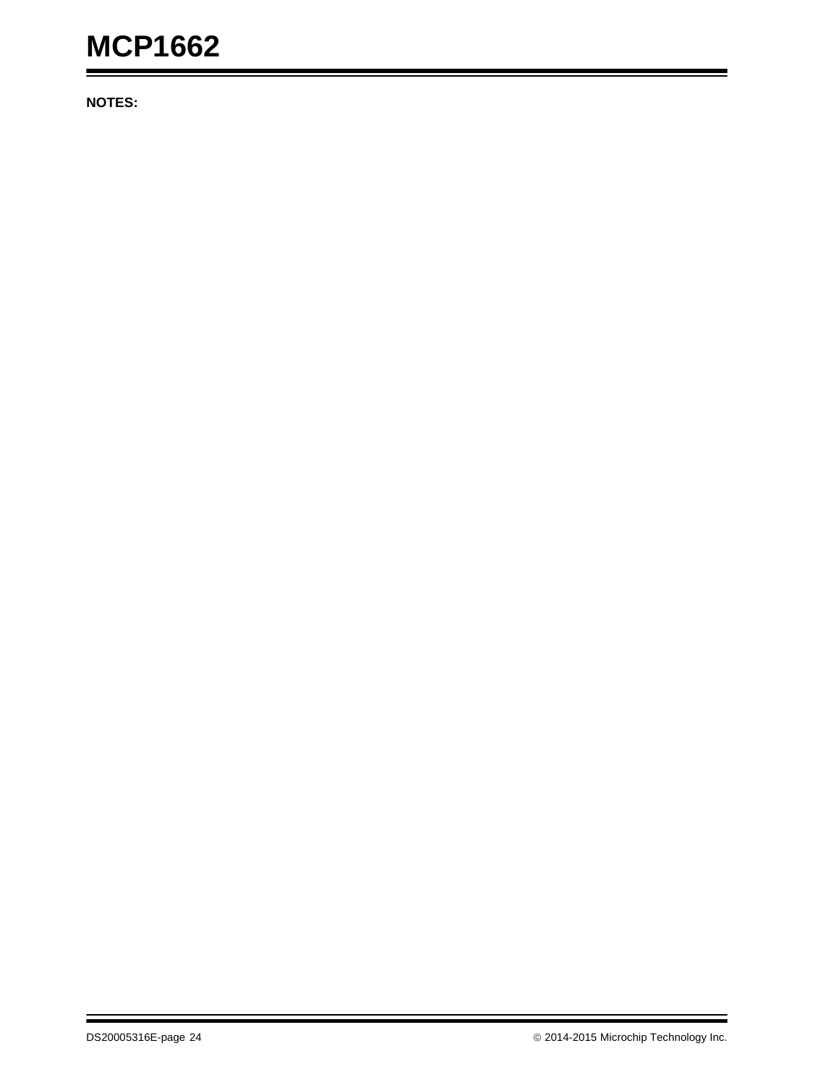# **MCP1662**

**NOTES:**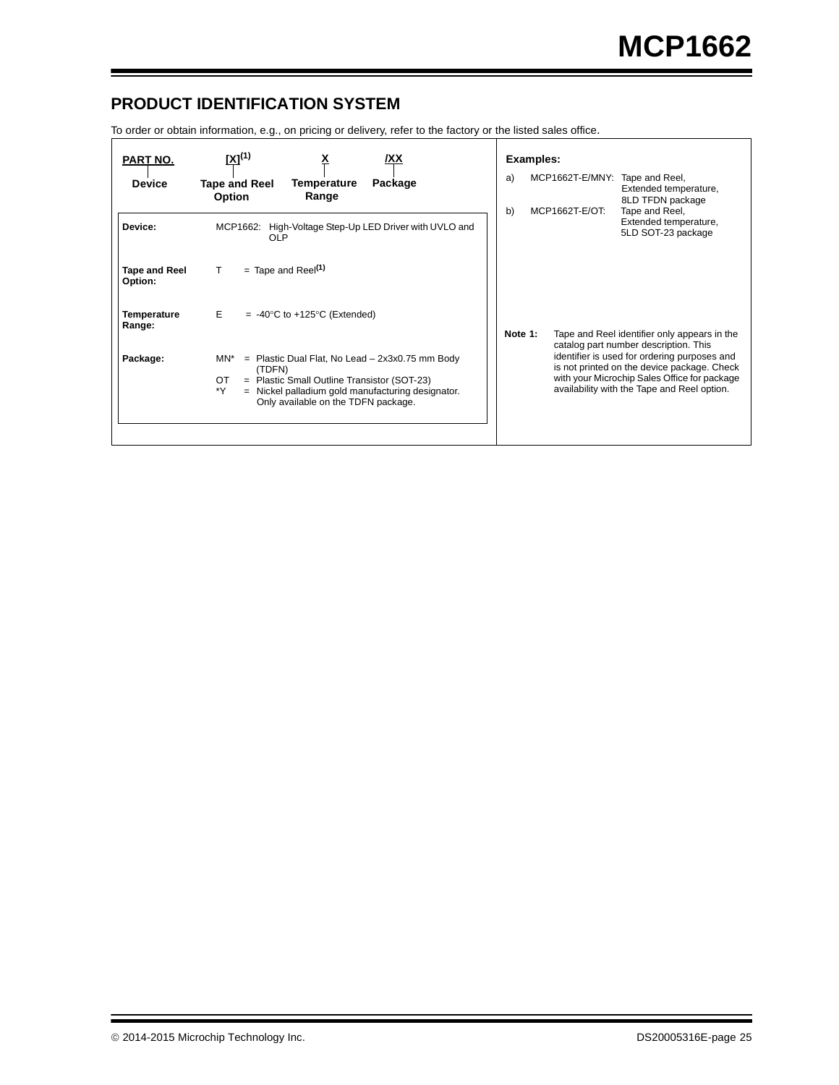# **PRODUCT IDENTIFICATION SYSTEM**

To order or obtain information, e.g., on pricing or delivery, refer to the factory or the listed sales office.

| <b>PART NO.</b><br><b>Device</b> | <u>[X](1)</u><br>IΧX<br><b>Temperature</b><br><b>Tape and Reel</b><br>Package<br>Range<br><b>Option</b>                                                                                                                       | <b>Examples:</b><br>MCP1662T-E/MNY: Tape and Reel,<br>a)<br>Extended temperature,<br>8LD TFDN package<br>b)<br>MCP1662T-E/OT:<br>Tape and Reel,                                            |
|----------------------------------|-------------------------------------------------------------------------------------------------------------------------------------------------------------------------------------------------------------------------------|--------------------------------------------------------------------------------------------------------------------------------------------------------------------------------------------|
| Device:                          | MCP1662: High-Voltage Step-Up LED Driver with UVLO and<br><b>OLP</b>                                                                                                                                                          | Extended temperature,<br>5LD SOT-23 package                                                                                                                                                |
| <b>Tape and Reel</b><br>Option:  | $=$ Tape and Reel <sup>(1)</sup><br>T.                                                                                                                                                                                        |                                                                                                                                                                                            |
| <b>Temperature</b><br>Range:     | E<br>$= -40$ °C to $+125$ °C (Extended)                                                                                                                                                                                       | Note 1:<br>Tape and Reel identifier only appears in the<br>catalog part number description. This                                                                                           |
| Package:                         | MN*<br>$=$ Plastic Dual Flat, No Lead $-$ 2x3x0.75 mm Body<br>(TDFN)<br>OT<br>= Plastic Small Outline Transistor (SOT-23)<br>*Y<br>$=$ Nickel palladium gold manufacturing designator.<br>Only available on the TDFN package. | identifier is used for ordering purposes and<br>is not printed on the device package. Check<br>with your Microchip Sales Office for package<br>availability with the Tape and Reel option. |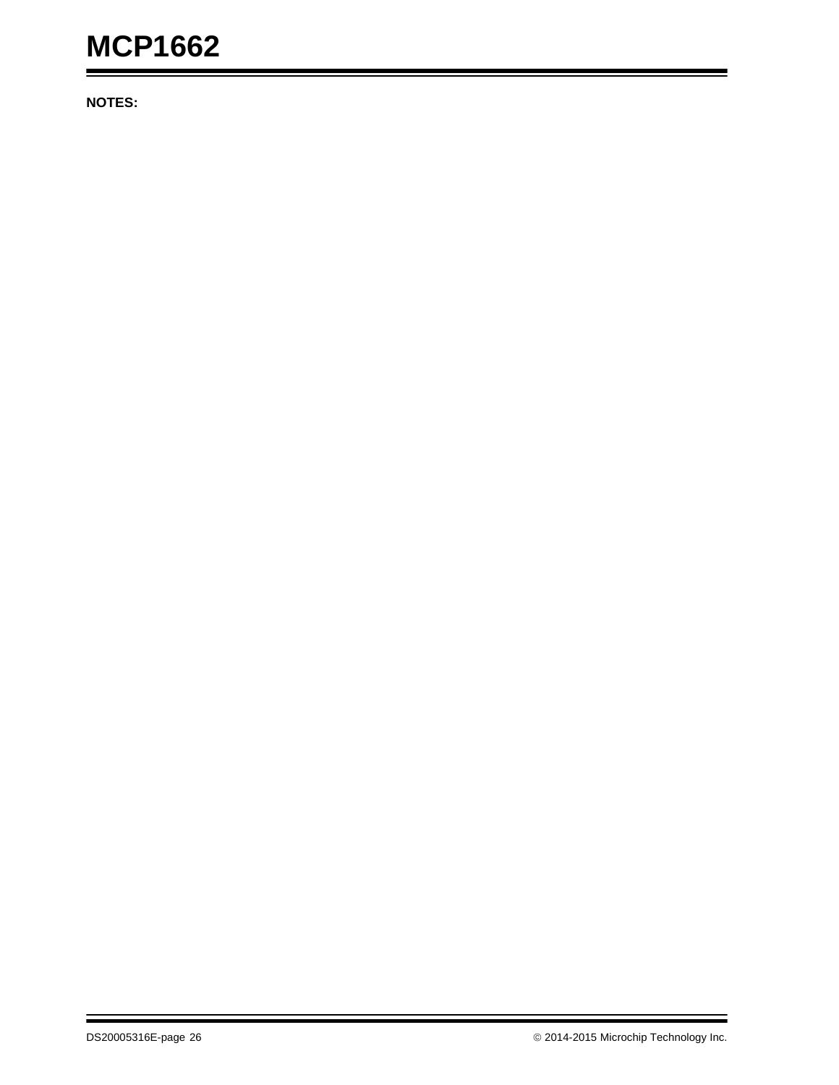# **MCP1662**

**NOTES:**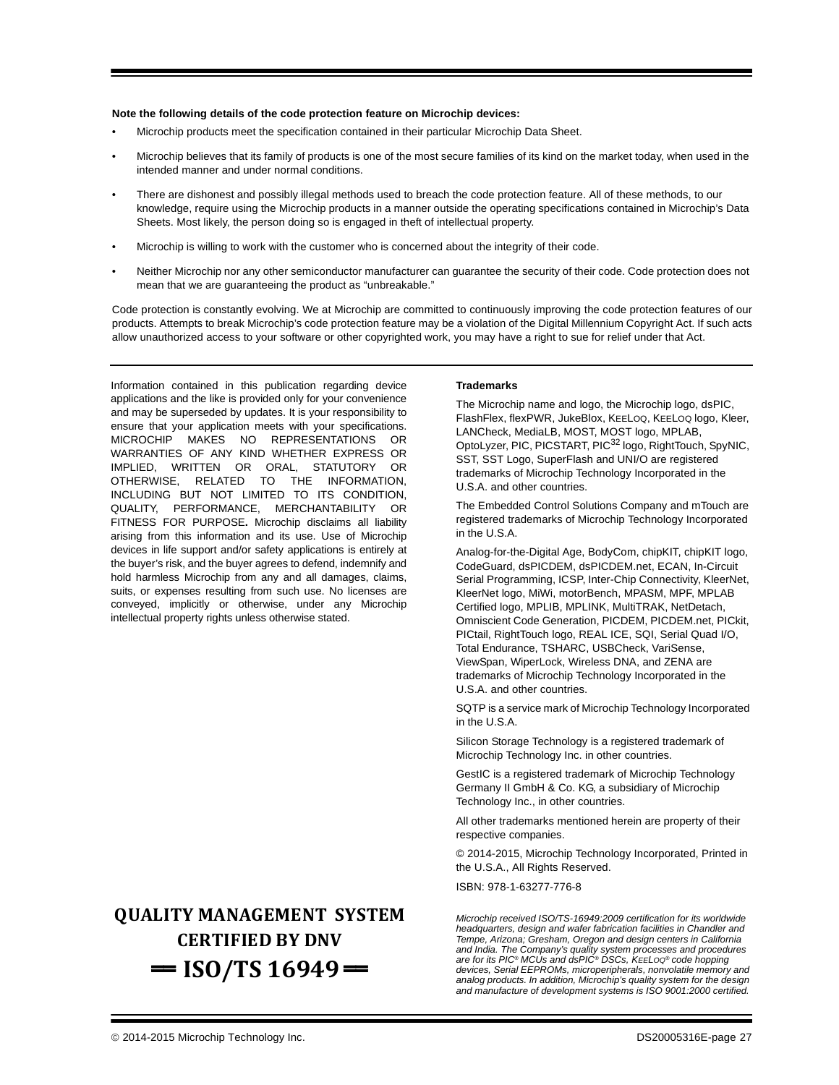#### **Note the following details of the code protection feature on Microchip devices:**

- Microchip products meet the specification contained in their particular Microchip Data Sheet.
- Microchip believes that its family of products is one of the most secure families of its kind on the market today, when used in the intended manner and under normal conditions.
- There are dishonest and possibly illegal methods used to breach the code protection feature. All of these methods, to our knowledge, require using the Microchip products in a manner outside the operating specifications contained in Microchip's Data Sheets. Most likely, the person doing so is engaged in theft of intellectual property.
- Microchip is willing to work with the customer who is concerned about the integrity of their code.
- Neither Microchip nor any other semiconductor manufacturer can guarantee the security of their code. Code protection does not mean that we are guaranteeing the product as "unbreakable."

Code protection is constantly evolving. We at Microchip are committed to continuously improving the code protection features of our products. Attempts to break Microchip's code protection feature may be a violation of the Digital Millennium Copyright Act. If such acts allow unauthorized access to your software or other copyrighted work, you may have a right to sue for relief under that Act.

Information contained in this publication regarding device applications and the like is provided only for your convenience and may be superseded by updates. It is your responsibility to ensure that your application meets with your specifications. MICROCHIP MAKES NO REPRESENTATIONS OR WARRANTIES OF ANY KIND WHETHER EXPRESS OR IMPLIED, WRITTEN OR ORAL, STATUTORY OR OTHERWISE, RELATED TO THE INFORMATION, INCLUDING BUT NOT LIMITED TO ITS CONDITION, QUALITY, PERFORMANCE, MERCHANTABILITY OR FITNESS FOR PURPOSE**.** Microchip disclaims all liability arising from this information and its use. Use of Microchip devices in life support and/or safety applications is entirely at the buyer's risk, and the buyer agrees to defend, indemnify and hold harmless Microchip from any and all damages, claims, suits, or expenses resulting from such use. No licenses are conveyed, implicitly or otherwise, under any Microchip intellectual property rights unless otherwise stated.

# **QUALITY MANAGEMENT SYSTEM CERTIFIED BY DNV**   $=$  **ISO/TS 16949** $=$

#### **Trademarks**

The Microchip name and logo, the Microchip logo, dsPIC, FlashFlex, flexPWR, JukeBlox, KEELOQ, KEELOQ logo, Kleer, LANCheck, MediaLB, MOST, MOST logo, MPLAB, OptoLyzer, PIC, PICSTART, PIC32 logo, RightTouch, SpyNIC, SST, SST Logo, SuperFlash and UNI/O are registered trademarks of Microchip Technology Incorporated in the U.S.A. and other countries.

The Embedded Control Solutions Company and mTouch are registered trademarks of Microchip Technology Incorporated in the U.S.A.

Analog-for-the-Digital Age, BodyCom, chipKIT, chipKIT logo, CodeGuard, dsPICDEM, dsPICDEM.net, ECAN, In-Circuit Serial Programming, ICSP, Inter-Chip Connectivity, KleerNet, KleerNet logo, MiWi, motorBench, MPASM, MPF, MPLAB Certified logo, MPLIB, MPLINK, MultiTRAK, NetDetach, Omniscient Code Generation, PICDEM, PICDEM.net, PICkit, PICtail, RightTouch logo, REAL ICE, SQI, Serial Quad I/O, Total Endurance, TSHARC, USBCheck, VariSense, ViewSpan, WiperLock, Wireless DNA, and ZENA are trademarks of Microchip Technology Incorporated in the U.S.A. and other countries.

SQTP is a service mark of Microchip Technology Incorporated in the U.S.A.

Silicon Storage Technology is a registered trademark of Microchip Technology Inc. in other countries.

GestIC is a registered trademark of Microchip Technology Germany II GmbH & Co. KG, a subsidiary of Microchip Technology Inc., in other countries.

All other trademarks mentioned herein are property of their respective companies.

© 2014-2015, Microchip Technology Incorporated, Printed in the U.S.A., All Rights Reserved.

ISBN: 978-1-63277-776-8

*Microchip received ISO/TS-16949:2009 certification for its worldwide headquarters, design and wafer fabrication facilities in Chandler and Tempe, Arizona; Gresham, Oregon and design centers in California and India. The Company's quality system processes and procedures are for its PIC® MCUs and dsPIC® DSCs, KEELOQ® code hopping devices, Serial EEPROMs, microperipherals, nonvolatile memory and analog products. In addition, Microchip's quality system for the design and manufacture of development systems is ISO 9001:2000 certified.*